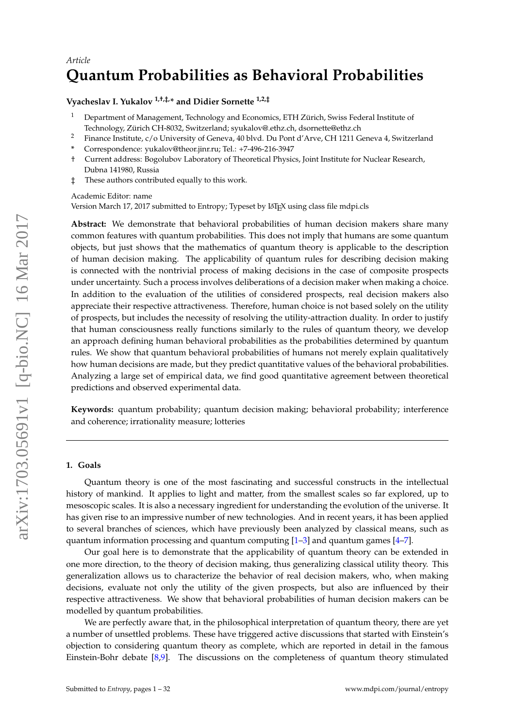# *Article* **Quantum Probabilities as Behavioral Probabilities**

## **Vyacheslav I. Yukalov 1,†,‡,\* and Didier Sornette 1,2,‡**

- <sup>1</sup> Department of Management, Technology and Economics, ETH Zürich, Swiss Federal Institute of Technology, Zürich CH-8032, Switzerland; syukalov@.ethz.ch, dsornette@ethz.ch
- <sup>2</sup> Finance Institute, c/o University of Geneva, 40 blvd. Du Pont d'Arve, CH 1211 Geneva 4, Switzerland
- **\*** Correspondence: yukalov@theor.jinr.ru; Tel.: +7-496-216-3947
- † Current address: Bogolubov Laboratory of Theoretical Physics, Joint Institute for Nuclear Research, Dubna 141980, Russia
- ‡ These authors contributed equally to this work.

Academic Editor: name

Version March 17, 2017 submitted to Entropy; Typeset by LATEX using class file mdpi.cls

**Abstract:** We demonstrate that behavioral probabilities of human decision makers share many common features with quantum probabilities. This does not imply that humans are some quantum objects, but just shows that the mathematics of quantum theory is applicable to the description of human decision making. The applicability of quantum rules for describing decision making is connected with the nontrivial process of making decisions in the case of composite prospects under uncertainty. Such a process involves deliberations of a decision maker when making a choice. In addition to the evaluation of the utilities of considered prospects, real decision makers also appreciate their respective attractiveness. Therefore, human choice is not based solely on the utility of prospects, but includes the necessity of resolving the utility-attraction duality. In order to justify that human consciousness really functions similarly to the rules of quantum theory, we develop an approach defining human behavioral probabilities as the probabilities determined by quantum rules. We show that quantum behavioral probabilities of humans not merely explain qualitatively how human decisions are made, but they predict quantitative values of the behavioral probabilities. Analyzing a large set of empirical data, we find good quantitative agreement between theoretical predictions and observed experimental data.

**Keywords:** quantum probability; quantum decision making; behavioral probability; interference and coherence; irrationality measure; lotteries

#### **1. Goals**

Quantum theory is one of the most fascinating and successful constructs in the intellectual history of mankind. It applies to light and matter, from the smallest scales so far explored, up to mesoscopic scales. It is also a necessary ingredient for understanding the evolution of the universe. It has given rise to an impressive number of new technologies. And in recent years, it has been applied to several branches of sciences, which have previously been analyzed by classical means, such as quantum information processing and quantum computing  $[1-3]$  $[1-3]$  and quantum games  $[4-7]$  $[4-7]$ .

Our goal here is to demonstrate that the applicability of quantum theory can be extended in one more direction, to the theory of decision making, thus generalizing classical utility theory. This generalization allows us to characterize the behavior of real decision makers, who, when making decisions, evaluate not only the utility of the given prospects, but also are influenced by their respective attractiveness. We show that behavioral probabilities of human decision makers can be modelled by quantum probabilities.

We are perfectly aware that, in the philosophical interpretation of quantum theory, there are yet a number of unsettled problems. These have triggered active discussions that started with Einstein's objection to considering quantum theory as complete, which are reported in detail in the famous Einstein-Bohr debate [\[8,](#page-27-4)[9\]](#page-27-5). The discussions on the completeness of quantum theory stimulated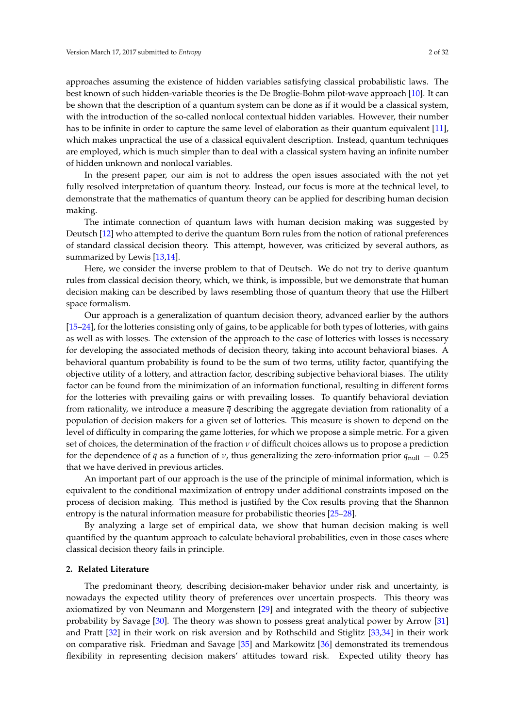approaches assuming the existence of hidden variables satisfying classical probabilistic laws. The best known of such hidden-variable theories is the De Broglie-Bohm pilot-wave approach [\[10\]](#page-28-0). It can be shown that the description of a quantum system can be done as if it would be a classical system, with the introduction of the so-called nonlocal contextual hidden variables. However, their number has to be infinite in order to capture the same level of elaboration as their quantum equivalent [\[11\]](#page-28-1), which makes unpractical the use of a classical equivalent description. Instead, quantum techniques are employed, which is much simpler than to deal with a classical system having an infinite number of hidden unknown and nonlocal variables.

In the present paper, our aim is not to address the open issues associated with the not yet fully resolved interpretation of quantum theory. Instead, our focus is more at the technical level, to demonstrate that the mathematics of quantum theory can be applied for describing human decision making.

The intimate connection of quantum laws with human decision making was suggested by Deutsch [\[12\]](#page-28-2) who attempted to derive the quantum Born rules from the notion of rational preferences of standard classical decision theory. This attempt, however, was criticized by several authors, as summarized by Lewis [\[13,](#page-28-3)[14\]](#page-28-4).

Here, we consider the inverse problem to that of Deutsch. We do not try to derive quantum rules from classical decision theory, which, we think, is impossible, but we demonstrate that human decision making can be described by laws resembling those of quantum theory that use the Hilbert space formalism.

Our approach is a generalization of quantum decision theory, advanced earlier by the authors [\[15–](#page-28-5)[24\]](#page-28-6), for the lotteries consisting only of gains, to be applicable for both types of lotteries, with gains as well as with losses. The extension of the approach to the case of lotteries with losses is necessary for developing the associated methods of decision theory, taking into account behavioral biases. A behavioral quantum probability is found to be the sum of two terms, utility factor, quantifying the objective utility of a lottery, and attraction factor, describing subjective behavioral biases. The utility factor can be found from the minimization of an information functional, resulting in different forms for the lotteries with prevailing gains or with prevailing losses. To quantify behavioral deviation from rationality, we introduce a measure  $\bar{q}$  describing the aggregate deviation from rationality of a population of decision makers for a given set of lotteries. This measure is shown to depend on the level of difficulty in comparing the game lotteries, for which we propose a simple metric. For a given set of choices, the determination of the fraction *ν* of difficult choices allows us to propose a prediction for the dependence of  $\bar{q}$  as a function of *ν*, thus generalizing the zero-information prior  $q_{\text{null}} = 0.25$ that we have derived in previous articles.

An important part of our approach is the use of the principle of minimal information, which is equivalent to the conditional maximization of entropy under additional constraints imposed on the process of decision making. This method is justified by the Cox results proving that the Shannon entropy is the natural information measure for probabilistic theories [\[25–](#page-28-7)[28\]](#page-28-8).

By analyzing a large set of empirical data, we show that human decision making is well quantified by the quantum approach to calculate behavioral probabilities, even in those cases where classical decision theory fails in principle.

#### **2. Related Literature**

The predominant theory, describing decision-maker behavior under risk and uncertainty, is nowadays the expected utility theory of preferences over uncertain prospects. This theory was axiomatized by von Neumann and Morgenstern [\[29\]](#page-28-9) and integrated with the theory of subjective probability by Savage [\[30\]](#page-28-10). The theory was shown to possess great analytical power by Arrow [\[31\]](#page-28-11) and Pratt [\[32\]](#page-28-12) in their work on risk aversion and by Rothschild and Stiglitz [\[33,](#page-28-13)[34\]](#page-28-14) in their work on comparative risk. Friedman and Savage [\[35\]](#page-28-15) and Markowitz [\[36\]](#page-28-16) demonstrated its tremendous flexibility in representing decision makers' attitudes toward risk. Expected utility theory has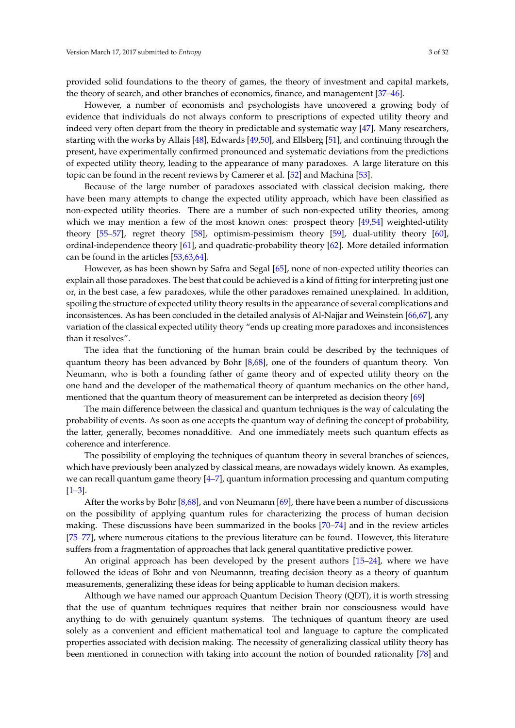provided solid foundations to the theory of games, the theory of investment and capital markets, the theory of search, and other branches of economics, finance, and management [\[37](#page-28-17)[–46\]](#page-28-18).

However, a number of economists and psychologists have uncovered a growing body of evidence that individuals do not always conform to prescriptions of expected utility theory and indeed very often depart from the theory in predictable and systematic way [\[47\]](#page-28-19). Many researchers, starting with the works by Allais [\[48\]](#page-29-0), Edwards [\[49,](#page-29-1)[50\]](#page-29-2), and Ellsberg [\[51\]](#page-29-3), and continuing through the present, have experimentally confirmed pronounced and systematic deviations from the predictions of expected utility theory, leading to the appearance of many paradoxes. A large literature on this topic can be found in the recent reviews by Camerer et al. [\[52\]](#page-29-4) and Machina [\[53\]](#page-29-5).

Because of the large number of paradoxes associated with classical decision making, there have been many attempts to change the expected utility approach, which have been classified as non-expected utility theories. There are a number of such non-expected utility theories, among which we may mention a few of the most known ones: prospect theory [\[49](#page-29-1)[,54\]](#page-29-6) weighted-utility theory [\[55](#page-29-7)[–57\]](#page-29-8), regret theory [\[58\]](#page-29-9), optimism-pessimism theory [\[59\]](#page-29-10), dual-utility theory [\[60\]](#page-29-11), ordinal-independence theory [\[61\]](#page-29-12), and quadratic-probability theory [\[62\]](#page-29-13). More detailed information can be found in the articles [\[53](#page-29-5)[,63,](#page-29-14)[64\]](#page-29-15).

However, as has been shown by Safra and Segal [\[65\]](#page-29-16), none of non-expected utility theories can explain all those paradoxes. The best that could be achieved is a kind of fitting for interpreting just one or, in the best case, a few paradoxes, while the other paradoxes remained unexplained. In addition, spoiling the structure of expected utility theory results in the appearance of several complications and inconsistences. As has been concluded in the detailed analysis of Al-Najjar and Weinstein [\[66](#page-29-17)[,67\]](#page-29-18), any variation of the classical expected utility theory "ends up creating more paradoxes and inconsistences than it resolves".

The idea that the functioning of the human brain could be described by the techniques of quantum theory has been advanced by Bohr [\[8,](#page-27-4)[68\]](#page-29-19), one of the founders of quantum theory. Von Neumann, who is both a founding father of game theory and of expected utility theory on the one hand and the developer of the mathematical theory of quantum mechanics on the other hand, mentioned that the quantum theory of measurement can be interpreted as decision theory [\[69\]](#page-29-20)

The main difference between the classical and quantum techniques is the way of calculating the probability of events. As soon as one accepts the quantum way of defining the concept of probability, the latter, generally, becomes nonadditive. And one immediately meets such quantum effects as coherence and interference.

The possibility of employing the techniques of quantum theory in several branches of sciences, which have previously been analyzed by classical means, are nowadays widely known. As examples, we can recall quantum game theory [\[4–](#page-27-2)[7\]](#page-27-3), quantum information processing and quantum computing [\[1–](#page-27-0)[3\]](#page-27-1).

After the works by Bohr [\[8](#page-27-4)[,68\]](#page-29-19), and von Neumann [\[69\]](#page-29-20), there have been a number of discussions on the possibility of applying quantum rules for characterizing the process of human decision making. These discussions have been summarized in the books [\[70](#page-29-21)[–74\]](#page-29-22) and in the review articles [\[75–](#page-29-23)[77\]](#page-29-24), where numerous citations to the previous literature can be found. However, this literature suffers from a fragmentation of approaches that lack general quantitative predictive power.

An original approach has been developed by the present authors [\[15](#page-28-5)[–24\]](#page-28-6), where we have followed the ideas of Bohr and von Neumannn, treating decision theory as a theory of quantum measurements, generalizing these ideas for being applicable to human decision makers.

Although we have named our approach Quantum Decision Theory (QDT), it is worth stressing that the use of quantum techniques requires that neither brain nor consciousness would have anything to do with genuinely quantum systems. The techniques of quantum theory are used solely as a convenient and efficient mathematical tool and language to capture the complicated properties associated with decision making. The necessity of generalizing classical utility theory has been mentioned in connection with taking into account the notion of bounded rationality [\[78\]](#page-29-25) and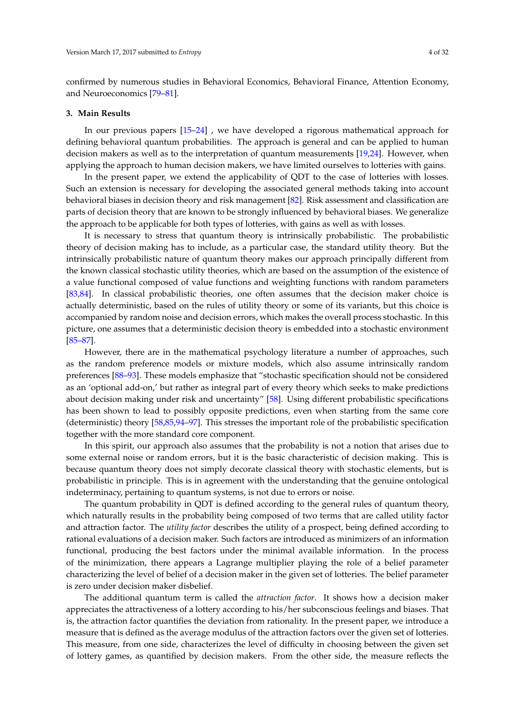confirmed by numerous studies in Behavioral Economics, Behavioral Finance, Attention Economy, and Neuroeconomics [\[79](#page-29-26)[–81\]](#page-29-27).

## **3. Main Results**

In our previous papers [\[15–](#page-28-5)[24\]](#page-28-6) , we have developed a rigorous mathematical approach for defining behavioral quantum probabilities. The approach is general and can be applied to human decision makers as well as to the interpretation of quantum measurements [\[19](#page-28-20)[,24\]](#page-28-6). However, when applying the approach to human decision makers, we have limited ourselves to lotteries with gains.

In the present paper, we extend the applicability of QDT to the case of lotteries with losses. Such an extension is necessary for developing the associated general methods taking into account behavioral biases in decision theory and risk management [\[82\]](#page-29-28). Risk assessment and classification are parts of decision theory that are known to be strongly influenced by behavioral biases. We generalize the approach to be applicable for both types of lotteries, with gains as well as with losses.

It is necessary to stress that quantum theory is intrinsically probabilistic. The probabilistic theory of decision making has to include, as a particular case, the standard utility theory. But the intrinsically probabilistic nature of quantum theory makes our approach principally different from the known classical stochastic utility theories, which are based on the assumption of the existence of a value functional composed of value functions and weighting functions with random parameters [\[83](#page-29-29)[,84\]](#page-30-0). In classical probabilistic theories, one often assumes that the decision maker choice is actually deterministic, based on the rules of utility theory or some of its variants, but this choice is accompanied by random noise and decision errors, which makes the overall process stochastic. In this picture, one assumes that a deterministic decision theory is embedded into a stochastic environment [\[85–](#page-30-1)[87\]](#page-30-2).

However, there are in the mathematical psychology literature a number of approaches, such as the random preference models or mixture models, which also assume intrinsically random preferences [\[88–](#page-30-3)[93\]](#page-30-4). These models emphasize that "stochastic specification should not be considered as an 'optional add-on,' but rather as integral part of every theory which seeks to make predictions about decision making under risk and uncertainty" [\[58\]](#page-29-9). Using different probabilistic specifications has been shown to lead to possibly opposite predictions, even when starting from the same core (deterministic) theory [\[58](#page-29-9)[,85](#page-30-1)[,94](#page-30-5)[–97\]](#page-30-6). This stresses the important role of the probabilistic specification together with the more standard core component.

In this spirit, our approach also assumes that the probability is not a notion that arises due to some external noise or random errors, but it is the basic characteristic of decision making. This is because quantum theory does not simply decorate classical theory with stochastic elements, but is probabilistic in principle. This is in agreement with the understanding that the genuine ontological indeterminacy, pertaining to quantum systems, is not due to errors or noise.

The quantum probability in QDT is defined according to the general rules of quantum theory, which naturally results in the probability being composed of two terms that are called utility factor and attraction factor. The *utility factor* describes the utility of a prospect, being defined according to rational evaluations of a decision maker. Such factors are introduced as minimizers of an information functional, producing the best factors under the minimal available information. In the process of the minimization, there appears a Lagrange multiplier playing the role of a belief parameter characterizing the level of belief of a decision maker in the given set of lotteries. The belief parameter is zero under decision maker disbelief.

The additional quantum term is called the *attraction factor*. It shows how a decision maker appreciates the attractiveness of a lottery according to his/her subconscious feelings and biases. That is, the attraction factor quantifies the deviation from rationality. In the present paper, we introduce a measure that is defined as the average modulus of the attraction factors over the given set of lotteries. This measure, from one side, characterizes the level of difficulty in choosing between the given set of lottery games, as quantified by decision makers. From the other side, the measure reflects the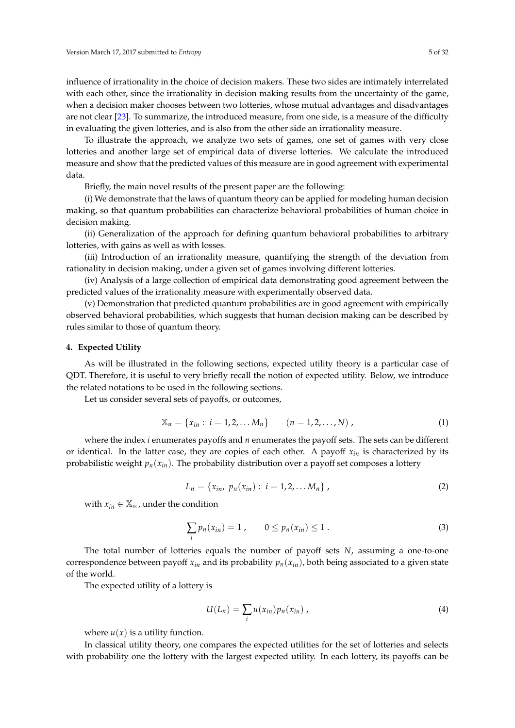influence of irrationality in the choice of decision makers. These two sides are intimately interrelated with each other, since the irrationality in decision making results from the uncertainty of the game, when a decision maker chooses between two lotteries, whose mutual advantages and disadvantages are not clear [\[23\]](#page-28-21). To summarize, the introduced measure, from one side, is a measure of the difficulty in evaluating the given lotteries, and is also from the other side an irrationality measure.

To illustrate the approach, we analyze two sets of games, one set of games with very close lotteries and another large set of empirical data of diverse lotteries. We calculate the introduced measure and show that the predicted values of this measure are in good agreement with experimental data.

Briefly, the main novel results of the present paper are the following:

(i) We demonstrate that the laws of quantum theory can be applied for modeling human decision making, so that quantum probabilities can characterize behavioral probabilities of human choice in decision making.

(ii) Generalization of the approach for defining quantum behavioral probabilities to arbitrary lotteries, with gains as well as with losses.

(iii) Introduction of an irrationality measure, quantifying the strength of the deviation from rationality in decision making, under a given set of games involving different lotteries.

(iv) Analysis of a large collection of empirical data demonstrating good agreement between the predicted values of the irrationality measure with experimentally observed data.

(v) Demonstration that predicted quantum probabilities are in good agreement with empirically observed behavioral probabilities, which suggests that human decision making can be described by rules similar to those of quantum theory.

#### **4. Expected Utility**

As will be illustrated in the following sections, expected utility theory is a particular case of QDT. Therefore, it is useful to very briefly recall the notion of expected utility. Below, we introduce the related notations to be used in the following sections.

Let us consider several sets of payoffs, or outcomes,

<span id="page-4-1"></span>
$$
\mathbb{X}_n = \{x_{in}: i = 1, 2, \dots M_n\} \qquad (n = 1, 2, \dots, N) ,
$$
 (1)

where the index *i* enumerates payoffs and *n* enumerates the payoff sets. The sets can be different or identical. In the latter case, they are copies of each other. A payoff  $x_{in}$  is characterized by its probabilistic weight  $p_n(x_{in})$ . The probability distribution over a payoff set composes a lottery

$$
L_n = \{x_{in}, p_n(x_{in}) : i = 1, 2, \dots M_n\},\tag{2}
$$

with  $x_{in} \in \mathbb{X}_{\times}$ , under the condition

$$
\sum_{i} p_n(x_{in}) = 1, \qquad 0 \le p_n(x_{in}) \le 1.
$$
 (3)

The total number of lotteries equals the number of payoff sets *N*, assuming a one-to-one correspondence between payoff  $x_{in}$  and its probability  $p_n(x_{in})$ , both being associated to a given state of the world.

The expected utility of a lottery is

<span id="page-4-0"></span>
$$
U(L_n) = \sum_i u(x_{in}) p_n(x_{in}), \qquad (4)
$$

where  $u(x)$  is a utility function.

In classical utility theory, one compares the expected utilities for the set of lotteries and selects with probability one the lottery with the largest expected utility. In each lottery, its payoffs can be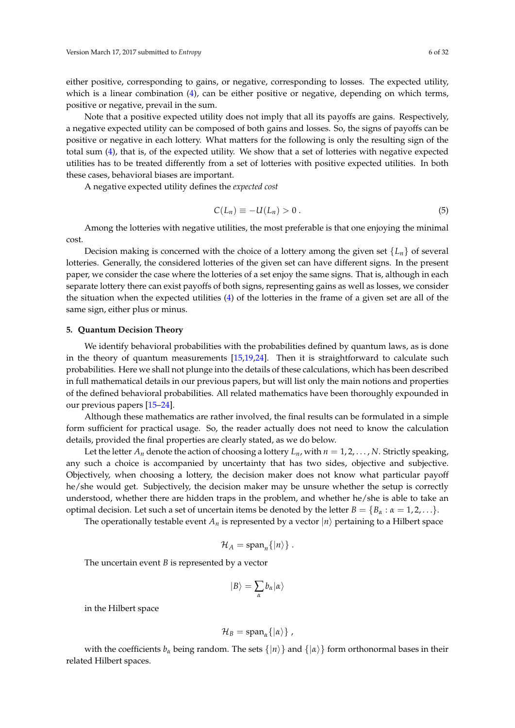either positive, corresponding to gains, or negative, corresponding to losses. The expected utility, which is a linear combination  $(4)$ , can be either positive or negative, depending on which terms, positive or negative, prevail in the sum.

Note that a positive expected utility does not imply that all its payoffs are gains. Respectively, a negative expected utility can be composed of both gains and losses. So, the signs of payoffs can be positive or negative in each lottery. What matters for the following is only the resulting sign of the total sum [\(4\)](#page-4-0), that is, of the expected utility. We show that a set of lotteries with negative expected utilities has to be treated differently from a set of lotteries with positive expected utilities. In both these cases, behavioral biases are important.

A negative expected utility defines the *expected cost*

$$
C(L_n) \equiv -U(L_n) > 0. \tag{5}
$$

Among the lotteries with negative utilities, the most preferable is that one enjoying the minimal cost.

Decision making is concerned with the choice of a lottery among the given set  $\{L_n\}$  of several lotteries. Generally, the considered lotteries of the given set can have different signs. In the present paper, we consider the case where the lotteries of a set enjoy the same signs. That is, although in each separate lottery there can exist payoffs of both signs, representing gains as well as losses, we consider the situation when the expected utilities [\(4\)](#page-4-0) of the lotteries in the frame of a given set are all of the same sign, either plus or minus.

#### **5. Quantum Decision Theory**

We identify behavioral probabilities with the probabilities defined by quantum laws, as is done in the theory of quantum measurements  $[15,19,24]$  $[15,19,24]$  $[15,19,24]$ . Then it is straightforward to calculate such probabilities. Here we shall not plunge into the details of these calculations, which has been described in full mathematical details in our previous papers, but will list only the main notions and properties of the defined behavioral probabilities. All related mathematics have been thoroughly expounded in our previous papers [\[15](#page-28-5)[–24\]](#page-28-6).

Although these mathematics are rather involved, the final results can be formulated in a simple form sufficient for practical usage. So, the reader actually does not need to know the calculation details, provided the final properties are clearly stated, as we do below.

Let the letter  $A_n$  denote the action of choosing a lottery  $L_n$ , with  $n = 1, 2, \ldots, N$ . Strictly speaking, any such a choice is accompanied by uncertainty that has two sides, objective and subjective. Objectively, when choosing a lottery, the decision maker does not know what particular payoff he/she would get. Subjectively, the decision maker may be unsure whether the setup is correctly understood, whether there are hidden traps in the problem, and whether he/she is able to take an optimal decision. Let such a set of uncertain items be denoted by the letter  $B = \{B_\alpha : \alpha = 1, 2, \ldots\}$ .

The operationally testable event  $A_n$  is represented by a vector  $|n\rangle$  pertaining to a Hilbert space

$$
\mathcal{H}_A=\mathrm{span}_n\{|n\rangle\}.
$$

The uncertain event *B* is represented by a vector

$$
|B\rangle = \sum_{\alpha} b_{\alpha} |\alpha\rangle
$$

in the Hilbert space

$$
\mathcal{H}_B=\mathrm{span}_{\alpha}\{| \alpha \rangle\},\,
$$

with the coefficients  $b_\alpha$  being random. The sets  $\{|n\rangle\}$  and  $\{|a\rangle\}$  form orthonormal bases in their related Hilbert spaces.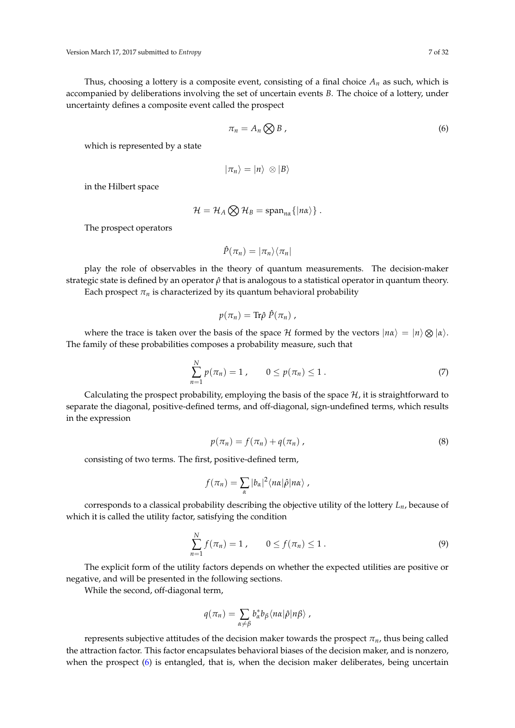Thus, choosing a lottery is a composite event, consisting of a final choice  $A_n$  as such, which is accompanied by deliberations involving the set of uncertain events *B*. The choice of a lottery, under uncertainty defines a composite event called the prospect

<span id="page-6-0"></span>
$$
\pi_n = A_n \bigotimes B \tag{6}
$$

which is represented by a state

$$
|\pi_n\rangle=|n\rangle\,\otimes|B\rangle
$$

in the Hilbert space

$$
\mathcal{H} = \mathcal{H}_A \bigotimes \mathcal{H}_B = \mathrm{span}_{n\alpha} \{ |n\alpha\rangle \} .
$$

The prospect operators

$$
\hat{P}(\pi_n)=|\pi_n\rangle\langle\pi_n|
$$

play the role of observables in the theory of quantum measurements. The decision-maker strategic state is defined by an operator *ρ*ˆ that is analogous to a statistical operator in quantum theory. Each prospect  $\pi_n$  is characterized by its quantum behavioral probability

$$
p(\pi_n)=\mathrm{Tr}\hat{\rho}\;\hat{P}(\pi_n)\;.
$$

where the trace is taken over the basis of the space  $\cal H$  formed by the vectors  $|n\alpha\rangle = |n\rangle \otimes |\alpha\rangle.$ The family of these probabilities composes a probability measure, such that

$$
\sum_{n=1}^{N} p(\pi_n) = 1, \qquad 0 \le p(\pi_n) \le 1.
$$
 (7)

Calculating the prospect probability, employing the basis of the space  $\mathcal{H}$ , it is straightforward to separate the diagonal, positive-defined terms, and off-diagonal, sign-undefined terms, which results in the expression

<span id="page-6-1"></span>
$$
p(\pi_n) = f(\pi_n) + q(\pi_n) \tag{8}
$$

consisting of two terms. The first, positive-defined term,

$$
f(\pi_n) = \sum_{\alpha} |b_{\alpha}|^2 \langle n\alpha | \hat{\rho} | n\alpha \rangle,
$$

corresponds to a classical probability describing the objective utility of the lottery *Ln*, because of which it is called the utility factor, satisfying the condition

<span id="page-6-2"></span>
$$
\sum_{n=1}^{N} f(\pi_n) = 1, \qquad 0 \le f(\pi_n) \le 1.
$$
 (9)

The explicit form of the utility factors depends on whether the expected utilities are positive or negative, and will be presented in the following sections.

While the second, off-diagonal term,

$$
q(\pi_n) = \sum_{\alpha \neq \beta} b_{\alpha}^* b_{\beta} \langle n\alpha | \hat{\rho} | n\beta \rangle \ ,
$$

represents subjective attitudes of the decision maker towards the prospect *πn*, thus being called the attraction factor. This factor encapsulates behavioral biases of the decision maker, and is nonzero, when the prospect [\(6\)](#page-6-0) is entangled, that is, when the decision maker deliberates, being uncertain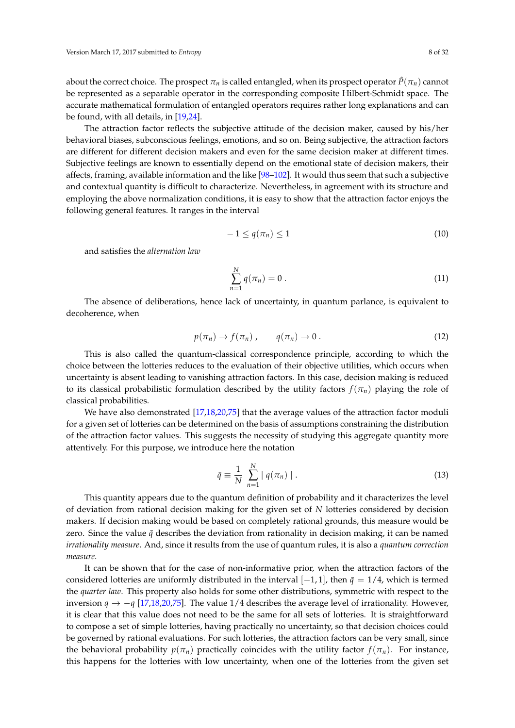about the correct choice. The prospect  $\pi_n$  is called entangled, when its prospect operator  $\hat{P}(\pi_n)$  cannot be represented as a separable operator in the corresponding composite Hilbert-Schmidt space. The accurate mathematical formulation of entangled operators requires rather long explanations and can be found, with all details, in [\[19,](#page-28-20)[24\]](#page-28-6).

The attraction factor reflects the subjective attitude of the decision maker, caused by his/her behavioral biases, subconscious feelings, emotions, and so on. Being subjective, the attraction factors are different for different decision makers and even for the same decision maker at different times. Subjective feelings are known to essentially depend on the emotional state of decision makers, their affects, framing, available information and the like [\[98–](#page-30-7)[102\]](#page-30-8). It would thus seem that such a subjective and contextual quantity is difficult to characterize. Nevertheless, in agreement with its structure and employing the above normalization conditions, it is easy to show that the attraction factor enjoys the following general features. It ranges in the interval

<span id="page-7-1"></span>
$$
-1 \le q(\pi_n) \le 1 \tag{10}
$$

and satisfies the *alternation law*

$$
\sum_{n=1}^{N} q(\pi_n) = 0.
$$
\n(11)

The absence of deliberations, hence lack of uncertainty, in quantum parlance, is equivalent to decoherence, when

$$
p(\pi_n) \to f(\pi_n) \,, \qquad q(\pi_n) \to 0 \,. \tag{12}
$$

This is also called the quantum-classical correspondence principle, according to which the choice between the lotteries reduces to the evaluation of their objective utilities, which occurs when uncertainty is absent leading to vanishing attraction factors. In this case, decision making is reduced to its classical probabilistic formulation described by the utility factors  $f(\pi_n)$  playing the role of classical probabilities.

We have also demonstrated [\[17](#page-28-22)[,18,](#page-28-23)[20,](#page-28-24)[75\]](#page-29-23) that the average values of the attraction factor moduli for a given set of lotteries can be determined on the basis of assumptions constraining the distribution of the attraction factor values. This suggests the necessity of studying this aggregate quantity more attentively. For this purpose, we introduce here the notation

<span id="page-7-0"></span>
$$
\bar{q} \equiv \frac{1}{N} \sum_{n=1}^{N} |q(\pi_n)| \,. \tag{13}
$$

This quantity appears due to the quantum definition of probability and it characterizes the level of deviation from rational decision making for the given set of *N* lotteries considered by decision makers. If decision making would be based on completely rational grounds, this measure would be zero. Since the value  $\bar{q}$  describes the deviation from rationality in decision making, it can be named *irrationality measure*. And, since it results from the use of quantum rules, it is also a *quantum correction measure*.

It can be shown that for the case of non-informative prior, when the attraction factors of the considered lotteries are uniformly distributed in the interval  $[-1, 1]$ , then  $\bar{q} = 1/4$ , which is termed the *quarter law*. This property also holds for some other distributions, symmetric with respect to the inversion *q* → −*q* [\[17,](#page-28-22)[18,](#page-28-23)[20](#page-28-24)[,75\]](#page-29-23). The value 1/4 describes the average level of irrationality. However, it is clear that this value does not need to be the same for all sets of lotteries. It is straightforward to compose a set of simple lotteries, having practically no uncertainty, so that decision choices could be governed by rational evaluations. For such lotteries, the attraction factors can be very small, since the behavioral probability  $p(\pi_n)$  practically coincides with the utility factor  $f(\pi_n)$ . For instance, this happens for the lotteries with low uncertainty, when one of the lotteries from the given set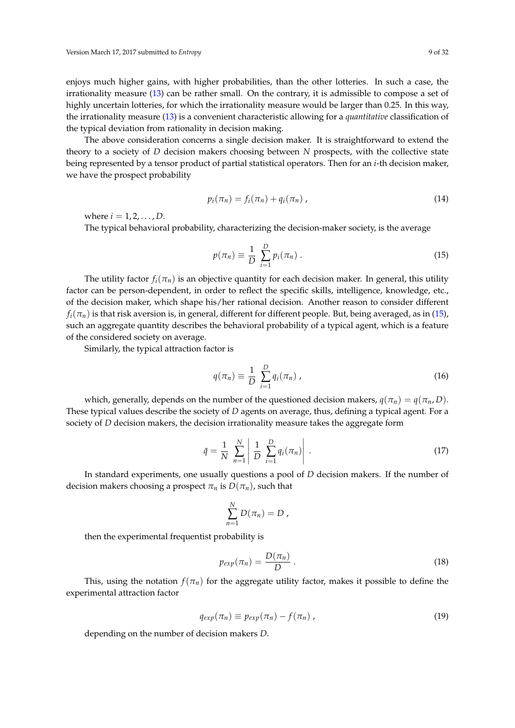enjoys much higher gains, with higher probabilities, than the other lotteries. In such a case, the irrationality measure [\(13\)](#page-7-0) can be rather small. On the contrary, it is admissible to compose a set of highly uncertain lotteries, for which the irrationality measure would be larger than 0.25. In this way, the irrationality measure [\(13\)](#page-7-0) is a convenient characteristic allowing for a *quantitative* classification of the typical deviation from rationality in decision making.

The above consideration concerns a single decision maker. It is straightforward to extend the theory to a society of *D* decision makers choosing between *N* prospects, with the collective state being represented by a tensor product of partial statistical operators. Then for an *i*-th decision maker, we have the prospect probability

<span id="page-8-1"></span>
$$
p_i(\pi_n) = f_i(\pi_n) + q_i(\pi_n) \tag{14}
$$

where  $i = 1, 2, ..., D$ .

The typical behavioral probability, characterizing the decision-maker society, is the average

<span id="page-8-0"></span>
$$
p(\pi_n) \equiv \frac{1}{D} \sum_{i=1}^{D} p_i(\pi_n) \,. \tag{15}
$$

The utility factor  $f_i(\pi_n)$  is an objective quantity for each decision maker. In general, this utility factor can be person-dependent, in order to reflect the specific skills, intelligence, knowledge, etc., of the decision maker, which shape his/her rational decision. Another reason to consider different  $f_i(\pi_n)$  is that risk aversion is, in general, different for different people. But, being averaged, as in [\(15\)](#page-8-0), such an aggregate quantity describes the behavioral probability of a typical agent, which is a feature of the considered society on average.

Similarly, the typical attraction factor is

<span id="page-8-2"></span>
$$
q(\pi_n) \equiv \frac{1}{D} \sum_{i=1}^{D} q_i(\pi_n) , \qquad (16)
$$

which, generally, depends on the number of the questioned decision makers,  $q(\pi_n) = q(\pi_n, D)$ . These typical values describe the society of *D* agents on average, thus, defining a typical agent. For a society of *D* decision makers, the decision irrationality measure takes the aggregate form

$$
\bar{q} = \frac{1}{N} \sum_{n=1}^{N} \left| \frac{1}{D} \sum_{i=1}^{D} q_i(\pi_n) \right| . \tag{17}
$$

In standard experiments, one usually questions a pool of *D* decision makers. If the number of decision makers choosing a prospect  $\pi_n$  is  $D(\pi_n)$ , such that

$$
\sum_{n=1}^N D(\pi_n) = D,
$$

then the experimental frequentist probability is

$$
p_{exp}(\pi_n) = \frac{D(\pi_n)}{D} \,. \tag{18}
$$

This, using the notation  $f(\pi_n)$  for the aggregate utility factor, makes it possible to define the experimental attraction factor

<span id="page-8-3"></span>
$$
q_{exp}(\pi_n) \equiv p_{exp}(\pi_n) - f(\pi_n) \tag{19}
$$

depending on the number of decision makers *D*.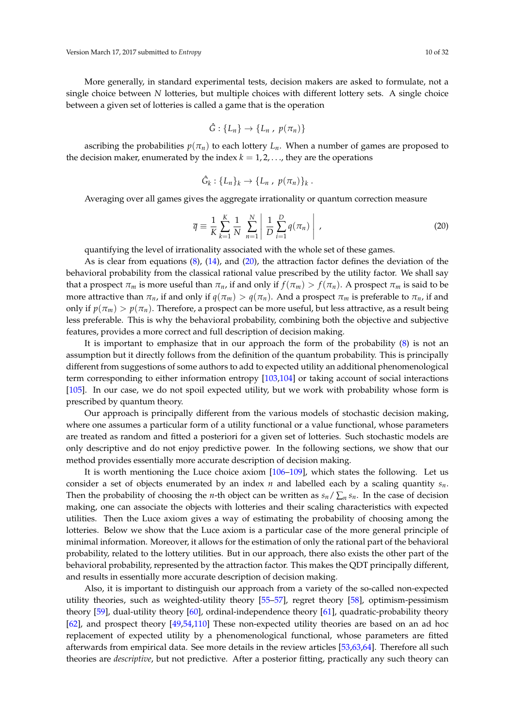More generally, in standard experimental tests, decision makers are asked to formulate, not a single choice between *N* lotteries, but multiple choices with different lottery sets. A single choice between a given set of lotteries is called a game that is the operation

$$
\hat{G}:\{L_n\}\to\{L_n\,,\ p(\pi_n)\}\
$$

ascribing the probabilities  $p(\pi_n)$  to each lottery  $L_n$ . When a number of games are proposed to the decision maker, enumerated by the index  $k = 1, 2, \ldots$ , they are the operations

$$
\hat{G}_k: \{L_n\}_k \to \{L_n, p(\pi_n)\}_k.
$$

Averaging over all games gives the aggregate irrationality or quantum correction measure

<span id="page-9-0"></span>
$$
\overline{q} = \frac{1}{K} \sum_{k=1}^{K} \frac{1}{N} \sum_{n=1}^{N} \left| \frac{1}{D} \sum_{i=1}^{D} q(\pi_n) \right|,
$$
\n(20)

quantifying the level of irrationality associated with the whole set of these games.

As is clear from equations [\(8\)](#page-6-1), [\(14\)](#page-8-1), and [\(20\)](#page-9-0), the attraction factor defines the deviation of the behavioral probability from the classical rational value prescribed by the utility factor. We shall say that a prospect  $\pi_m$  is more useful than  $\pi_n$ , if and only if  $f(\pi_m) > f(\pi_n)$ . A prospect  $\pi_m$  is said to be more attractive than  $\pi_n$ , if and only if  $q(\pi_m) > q(\pi_n)$ . And a prospect  $\pi_m$  is preferable to  $\pi_n$ , if and only if  $p(\pi_m) > p(\pi_n)$ . Therefore, a prospect can be more useful, but less attractive, as a result being less preferable. This is why the behavioral probability, combining both the objective and subjective features, provides a more correct and full description of decision making.

It is important to emphasize that in our approach the form of the probability [\(8\)](#page-6-1) is not an assumption but it directly follows from the definition of the quantum probability. This is principally different from suggestions of some authors to add to expected utility an additional phenomenological term corresponding to either information entropy [\[103](#page-30-9)[,104\]](#page-30-10) or taking account of social interactions [\[105\]](#page-30-11). In our case, we do not spoil expected utility, but we work with probability whose form is prescribed by quantum theory.

Our approach is principally different from the various models of stochastic decision making, where one assumes a particular form of a utility functional or a value functional, whose parameters are treated as random and fitted a posteriori for a given set of lotteries. Such stochastic models are only descriptive and do not enjoy predictive power. In the following sections, we show that our method provides essentially more accurate description of decision making.

It is worth mentioning the Luce choice axiom [\[106–](#page-30-12)[109\]](#page-30-13), which states the following. Let us consider a set of objects enumerated by an index *n* and labelled each by a scaling quantity  $s_n$ . Then the probability of choosing the *n*-th object can be written as  $s_n / \sum_n s_n$ . In the case of decision making, one can associate the objects with lotteries and their scaling characteristics with expected utilities. Then the Luce axiom gives a way of estimating the probability of choosing among the lotteries. Below we show that the Luce axiom is a particular case of the more general principle of minimal information. Moreover, it allows for the estimation of only the rational part of the behavioral probability, related to the lottery utilities. But in our approach, there also exists the other part of the behavioral probability, represented by the attraction factor. This makes the QDT principally different, and results in essentially more accurate description of decision making.

Also, it is important to distinguish our approach from a variety of the so-called non-expected utility theories, such as weighted-utility theory [\[55](#page-29-7)[–57\]](#page-29-8), regret theory [\[58\]](#page-29-9), optimism-pessimism theory [\[59\]](#page-29-10), dual-utility theory [\[60\]](#page-29-11), ordinal-independence theory [\[61\]](#page-29-12), quadratic-probability theory [\[62\]](#page-29-13), and prospect theory [\[49](#page-29-1)[,54,](#page-29-6)[110\]](#page-30-14) These non-expected utility theories are based on an ad hoc replacement of expected utility by a phenomenological functional, whose parameters are fitted afterwards from empirical data. See more details in the review articles [\[53,](#page-29-5)[63,](#page-29-14)[64\]](#page-29-15). Therefore all such theories are *descriptive*, but not predictive. After a posterior fitting, practically any such theory can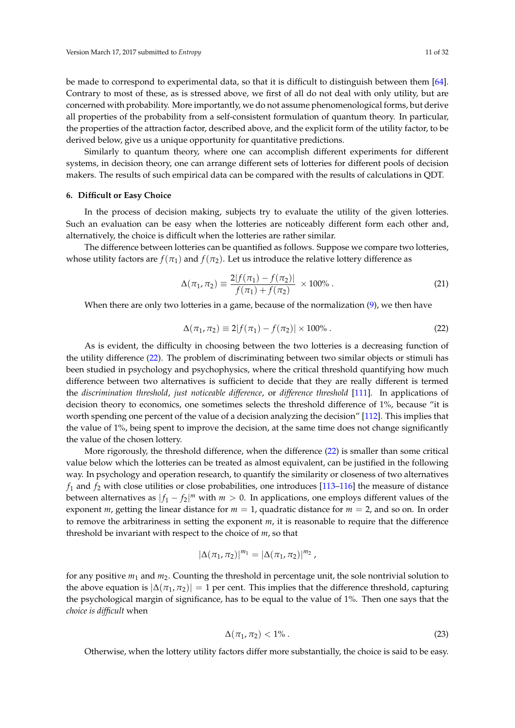be made to correspond to experimental data, so that it is difficult to distinguish between them [\[64\]](#page-29-15). Contrary to most of these, as is stressed above, we first of all do not deal with only utility, but are concerned with probability. More importantly, we do not assume phenomenological forms, but derive all properties of the probability from a self-consistent formulation of quantum theory. In particular, the properties of the attraction factor, described above, and the explicit form of the utility factor, to be derived below, give us a unique opportunity for quantitative predictions.

Similarly to quantum theory, where one can accomplish different experiments for different systems, in decision theory, one can arrange different sets of lotteries for different pools of decision makers. The results of such empirical data can be compared with the results of calculations in QDT.

#### **6. Difficult or Easy Choice**

In the process of decision making, subjects try to evaluate the utility of the given lotteries. Such an evaluation can be easy when the lotteries are noticeably different form each other and, alternatively, the choice is difficult when the lotteries are rather similar.

The difference between lotteries can be quantified as follows. Suppose we compare two lotteries, whose utility factors are  $f(\pi_1)$  and  $f(\pi_2)$ . Let us introduce the relative lottery difference as

<span id="page-10-2"></span>
$$
\Delta(\pi_1, \pi_2) \equiv \frac{2|f(\pi_1) - f(\pi_2)|}{f(\pi_1) + f(\pi_2)} \times 100\% \,. \tag{21}
$$

When there are only two lotteries in a game, because of the normalization [\(9\)](#page-6-2), we then have

<span id="page-10-0"></span>
$$
\Delta(\pi_1, \pi_2) \equiv 2|f(\pi_1) - f(\pi_2)| \times 100\% . \tag{22}
$$

As is evident, the difficulty in choosing between the two lotteries is a decreasing function of the utility difference [\(22\)](#page-10-0). The problem of discriminating between two similar objects or stimuli has been studied in psychology and psychophysics, where the critical threshold quantifying how much difference between two alternatives is sufficient to decide that they are really different is termed the *discrimination threshold*, *just noticeable difference*, or *difference threshold* [\[111\]](#page-30-15). In applications of decision theory to economics, one sometimes selects the threshold difference of 1%, because "it is worth spending one percent of the value of a decision analyzing the decision" [\[112\]](#page-30-16). This implies that the value of 1%, being spent to improve the decision, at the same time does not change significantly the value of the chosen lottery.

More rigorously, the threshold difference, when the difference [\(22\)](#page-10-0) is smaller than some critical value below which the lotteries can be treated as almost equivalent, can be justified in the following way. In psychology and operation research, to quantify the similarity or closeness of two alternatives  $f_1$  and  $f_2$  with close utilities or close probabilities, one introduces [\[113–](#page-30-17)[116\]](#page-31-0) the measure of distance between alternatives as  $|f_1 - f_2|^m$  with  $m > 0$ . In applications, one employs different values of the exponent *m*, getting the linear distance for *m* = 1, quadratic distance for *m* = 2, and so on. In order to remove the arbitrariness in setting the exponent *m*, it is reasonable to require that the difference threshold be invariant with respect to the choice of *m*, so that

$$
|\Delta(\pi_1, \pi_2)|^{m_1} = |\Delta(\pi_1, \pi_2)|^{m_2},
$$

for any positive *m*<sup>1</sup> and *m*2. Counting the threshold in percentage unit, the sole nontrivial solution to the above equation is  $|\Delta(\pi_1, \pi_2)| = 1$  per cent. This implies that the difference threshold, capturing the psychological margin of significance, has to be equal to the value of 1%. Then one says that the *choice is difficult* when

<span id="page-10-1"></span>
$$
\Delta(\pi_1, \pi_2) < 1\% \tag{23}
$$

Otherwise, when the lottery utility factors differ more substantially, the choice is said to be easy.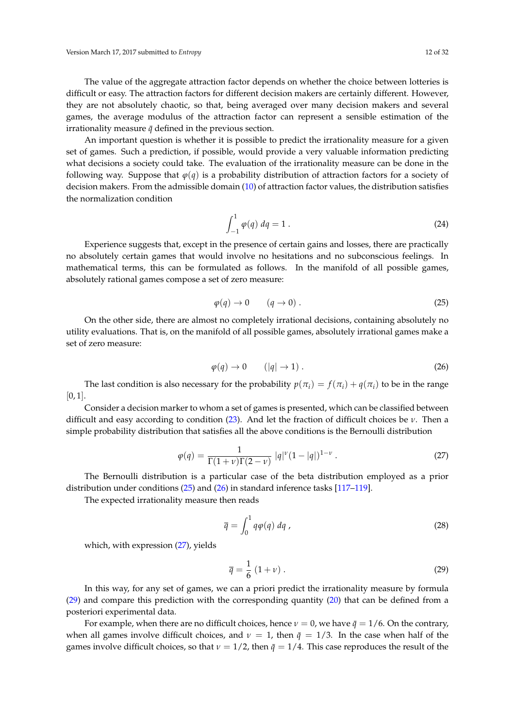The value of the aggregate attraction factor depends on whether the choice between lotteries is difficult or easy. The attraction factors for different decision makers are certainly different. However, they are not absolutely chaotic, so that, being averaged over many decision makers and several games, the average modulus of the attraction factor can represent a sensible estimation of the irrationality measure  $\bar{q}$  defined in the previous section.

An important question is whether it is possible to predict the irrationality measure for a given set of games. Such a prediction, if possible, would provide a very valuable information predicting what decisions a society could take. The evaluation of the irrationality measure can be done in the following way. Suppose that  $\varphi(q)$  is a probability distribution of attraction factors for a society of decision makers. From the admissible domain [\(10\)](#page-7-1) of attraction factor values, the distribution satisfies the normalization condition

$$
\int_{-1}^{1} \varphi(q) \, dq = 1 \,. \tag{24}
$$

Experience suggests that, except in the presence of certain gains and losses, there are practically no absolutely certain games that would involve no hesitations and no subconscious feelings. In mathematical terms, this can be formulated as follows. In the manifold of all possible games, absolutely rational games compose a set of zero measure:

<span id="page-11-0"></span>
$$
\varphi(q) \to 0 \qquad (q \to 0) \tag{25}
$$

On the other side, there are almost no completely irrational decisions, containing absolutely no utility evaluations. That is, on the manifold of all possible games, absolutely irrational games make a set of zero measure:

<span id="page-11-1"></span>
$$
\varphi(q) \to 0 \qquad (|q| \to 1) \tag{26}
$$

The last condition is also necessary for the probability  $p(\pi_i) = f(\pi_i) + q(\pi_i)$  to be in the range  $[0, 1]$ .

Consider a decision marker to whom a set of games is presented, which can be classified between difficult and easy according to condition [\(23\)](#page-10-1). And let the fraction of difficult choices be *ν*. Then a simple probability distribution that satisfies all the above conditions is the Bernoulli distribution

<span id="page-11-2"></span>
$$
\varphi(q) = \frac{1}{\Gamma(1+\nu)\Gamma(2-\nu)} |q|^\nu (1-|q|)^{1-\nu} . \tag{27}
$$

The Bernoulli distribution is a particular case of the beta distribution employed as a prior distribution under conditions [\(25\)](#page-11-0) and [\(26\)](#page-11-1) in standard inference tasks [\[117](#page-31-1)[–119\]](#page-31-2).

The expected irrationality measure then reads

$$
\overline{q} = \int_0^1 q \varphi(q) \, dq \,, \tag{28}
$$

which, with expression [\(27\)](#page-11-2), yields

<span id="page-11-3"></span>
$$
\overline{q} = \frac{1}{6} \left( 1 + \nu \right). \tag{29}
$$

In this way, for any set of games, we can a priori predict the irrationality measure by formula [\(29\)](#page-11-3) and compare this prediction with the corresponding quantity [\(20\)](#page-9-0) that can be defined from a posteriori experimental data.

For example, when there are no difficult choices, hence  $\nu = 0$ , we have  $\bar{q} = 1/6$ . On the contrary, when all games involve difficult choices, and  $\nu = 1$ , then  $\bar{q} = 1/3$ . In the case when half of the games involve difficult choices, so that  $\nu = 1/2$ , then  $\bar{q} = 1/4$ . This case reproduces the result of the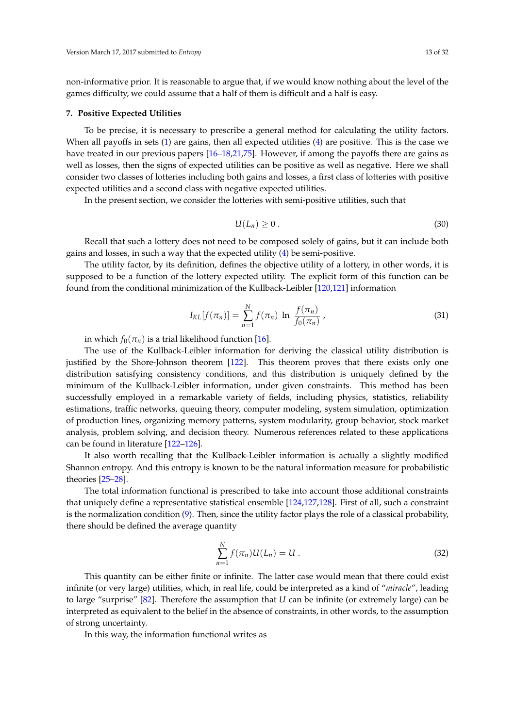non-informative prior. It is reasonable to argue that, if we would know nothing about the level of the games difficulty, we could assume that a half of them is difficult and a half is easy.

#### **7. Positive Expected Utilities**

To be precise, it is necessary to prescribe a general method for calculating the utility factors. When all payoffs in sets [\(1\)](#page-4-1) are gains, then all expected utilities [\(4\)](#page-4-0) are positive. This is the case we have treated in our previous papers [\[16–](#page-28-25)[18,](#page-28-23)[21](#page-28-26)[,75\]](#page-29-23). However, if among the payoffs there are gains as well as losses, then the signs of expected utilities can be positive as well as negative. Here we shall consider two classes of lotteries including both gains and losses, a first class of lotteries with positive expected utilities and a second class with negative expected utilities.

In the present section, we consider the lotteries with semi-positive utilities, such that

$$
U(L_n) \geq 0. \tag{30}
$$

Recall that such a lottery does not need to be composed solely of gains, but it can include both gains and losses, in such a way that the expected utility [\(4\)](#page-4-0) be semi-positive.

The utility factor, by its definition, defines the objective utility of a lottery, in other words, it is supposed to be a function of the lottery expected utility. The explicit form of this function can be found from the conditional minimization of the Kullback-Leibler [\[120,](#page-31-3)[121\]](#page-31-4) information

$$
I_{KL}[f(\pi_n)] = \sum_{n=1}^{N} f(\pi_n) \ln \frac{f(\pi_n)}{f_0(\pi_n)},
$$
\n(31)

in which  $f_0(\pi_n)$  is a trial likelihood function [\[16\]](#page-28-25).

The use of the Kullback-Leibler information for deriving the classical utility distribution is justified by the Shore-Johnson theorem [\[122\]](#page-31-5). This theorem proves that there exists only one distribution satisfying consistency conditions, and this distribution is uniquely defined by the minimum of the Kullback-Leibler information, under given constraints. This method has been successfully employed in a remarkable variety of fields, including physics, statistics, reliability estimations, traffic networks, queuing theory, computer modeling, system simulation, optimization of production lines, organizing memory patterns, system modularity, group behavior, stock market analysis, problem solving, and decision theory. Numerous references related to these applications can be found in literature [\[122–](#page-31-5)[126\]](#page-31-6).

It also worth recalling that the Kullback-Leibler information is actually a slightly modified Shannon entropy. And this entropy is known to be the natural information measure for probabilistic theories [\[25](#page-28-7)[–28\]](#page-28-8).

The total information functional is prescribed to take into account those additional constraints that uniquely define a representative statistical ensemble [\[124](#page-31-7)[,127](#page-31-8)[,128\]](#page-31-9). First of all, such a constraint is the normalization condition [\(9\)](#page-6-2). Then, since the utility factor plays the role of a classical probability, there should be defined the average quantity

<span id="page-12-0"></span>
$$
\sum_{n=1}^{N} f(\pi_n) U(L_n) = U.
$$
\n(32)

This quantity can be either finite or infinite. The latter case would mean that there could exist infinite (or very large) utilities, which, in real life, could be interpreted as a kind of "*miracle*", leading to large "surprise" [\[82\]](#page-29-28). Therefore the assumption that *U* can be infinite (or extremely large) can be interpreted as equivalent to the belief in the absence of constraints, in other words, to the assumption of strong uncertainty.

In this way, the information functional writes as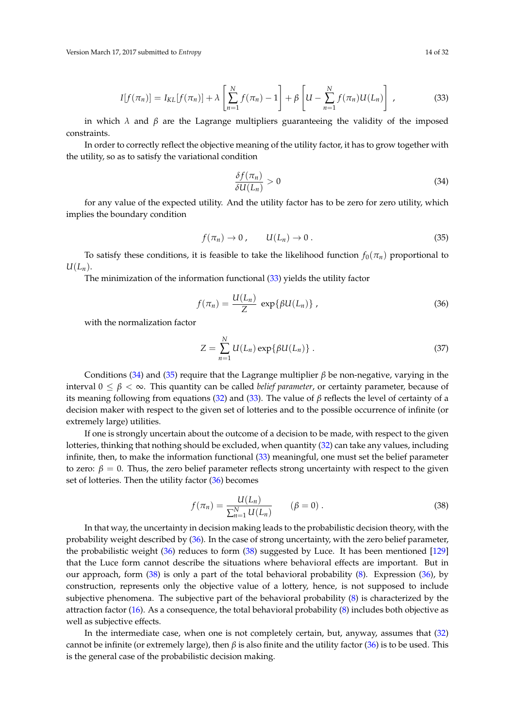<span id="page-13-0"></span>
$$
I[f(\pi_n)] = I_{KL}[f(\pi_n)] + \lambda \left[\sum_{n=1}^N f(\pi_n) - 1\right] + \beta \left[U - \sum_{n=1}^N f(\pi_n)U(L_n)\right],
$$
\n(33)

in which  $\lambda$  and  $\beta$  are the Lagrange multipliers guaranteeing the validity of the imposed constraints.

In order to correctly reflect the objective meaning of the utility factor, it has to grow together with the utility, so as to satisfy the variational condition

<span id="page-13-1"></span>
$$
\frac{\delta f(\pi_n)}{\delta U(L_n)} > 0 \tag{34}
$$

for any value of the expected utility. And the utility factor has to be zero for zero utility, which implies the boundary condition

<span id="page-13-2"></span>
$$
f(\pi_n) \to 0, \qquad U(L_n) \to 0. \tag{35}
$$

To satisfy these conditions, it is feasible to take the likelihood function  $f_0(\pi_n)$  proportional to  $U(L_n)$ .

The minimization of the information functional [\(33\)](#page-13-0) yields the utility factor

<span id="page-13-3"></span>
$$
f(\pi_n) = \frac{U(L_n)}{Z} \, \exp\{\beta U(L_n)\} \,, \tag{36}
$$

with the normalization factor

$$
Z = \sum_{n=1}^{N} U(L_n) \exp\{\beta U(L_n)\}.
$$
 (37)

Conditions [\(34\)](#page-13-1) and [\(35\)](#page-13-2) require that the Lagrange multiplier  $\beta$  be non-negative, varying in the interval  $0 \leq \beta < \infty$ . This quantity can be called *belief parameter*, or certainty parameter, because of its meaning following from equations [\(32\)](#page-12-0) and [\(33\)](#page-13-0). The value of *β* reflects the level of certainty of a decision maker with respect to the given set of lotteries and to the possible occurrence of infinite (or extremely large) utilities.

If one is strongly uncertain about the outcome of a decision to be made, with respect to the given lotteries, thinking that nothing should be excluded, when quantity [\(32\)](#page-12-0) can take any values, including infinite, then, to make the information functional [\(33\)](#page-13-0) meaningful, one must set the belief parameter to zero:  $\beta = 0$ . Thus, the zero belief parameter reflects strong uncertainty with respect to the given set of lotteries. Then the utility factor [\(36\)](#page-13-3) becomes

<span id="page-13-4"></span>
$$
f(\pi_n) = \frac{U(L_n)}{\sum_{n=1}^{N} U(L_n)}
$$
  $(\beta = 0).$  (38)

In that way, the uncertainty in decision making leads to the probabilistic decision theory, with the probability weight described by [\(36\)](#page-13-3). In the case of strong uncertainty, with the zero belief parameter, the probabilistic weight [\(36\)](#page-13-3) reduces to form [\(38\)](#page-13-4) suggested by Luce. It has been mentioned [\[129\]](#page-31-10) that the Luce form cannot describe the situations where behavioral effects are important. But in our approach, form [\(38\)](#page-13-4) is only a part of the total behavioral probability [\(8\)](#page-6-1). Expression [\(36\)](#page-13-3), by construction, represents only the objective value of a lottery, hence, is not supposed to include subjective phenomena. The subjective part of the behavioral probability [\(8\)](#page-6-1) is characterized by the attraction factor [\(16\)](#page-8-2). As a consequence, the total behavioral probability [\(8\)](#page-6-1) includes both objective as well as subjective effects.

In the intermediate case, when one is not completely certain, but, anyway, assumes that [\(32\)](#page-12-0) cannot be infinite (or extremely large), then *β* is also finite and the utility factor [\(36\)](#page-13-3) is to be used. This is the general case of the probabilistic decision making.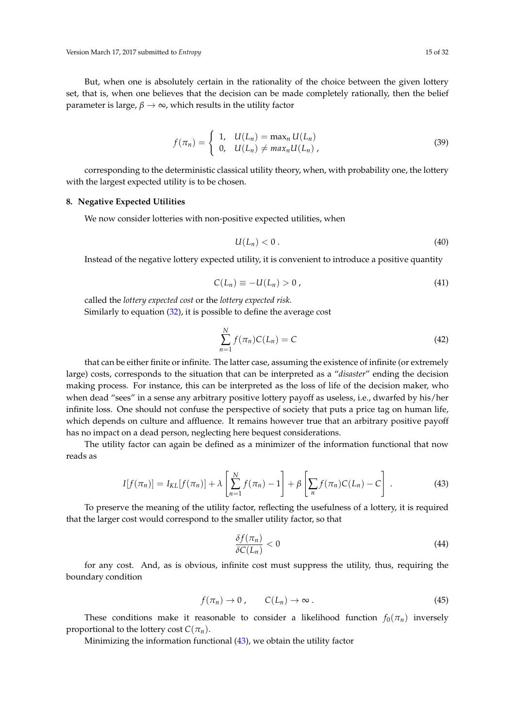Version March 17, 2017 submitted to *Entropy* 15 of 32

But, when one is absolutely certain in the rationality of the choice between the given lottery set, that is, when one believes that the decision can be made completely rationally, then the belief parameter is large,  $\beta \rightarrow \infty$ , which results in the utility factor

$$
f(\pi_n) = \begin{cases} 1, & U(L_n) = \max_n U(L_n) \\ 0, & U(L_n) \neq \max_n U(L_n) \end{cases}
$$
 (39)

corresponding to the deterministic classical utility theory, when, with probability one, the lottery with the largest expected utility is to be chosen.

## **8. Negative Expected Utilities**

We now consider lotteries with non-positive expected utilities, when

$$
U(L_n) < 0 \tag{40}
$$

Instead of the negative lottery expected utility, it is convenient to introduce a positive quantity

$$
C(L_n) \equiv -U(L_n) > 0 \tag{41}
$$

called the *lottery expected cost* or the *lottery expected risk*. Similarly to equation [\(32\)](#page-12-0), it is possible to define the average cost

<span id="page-14-1"></span>
$$
\sum_{n=1}^{N} f(\pi_n) C(L_n) = C \tag{42}
$$

that can be either finite or infinite. The latter case, assuming the existence of infinite (or extremely large) costs, corresponds to the situation that can be interpreted as a "*disaster*" ending the decision making process. For instance, this can be interpreted as the loss of life of the decision maker, who when dead "sees" in a sense any arbitrary positive lottery payoff as useless, i.e., dwarfed by his/her infinite loss. One should not confuse the perspective of society that puts a price tag on human life, which depends on culture and affluence. It remains however true that an arbitrary positive payoff has no impact on a dead person, neglecting here bequest considerations.

The utility factor can again be defined as a minimizer of the information functional that now reads as

<span id="page-14-0"></span>
$$
I[f(\pi_n)] = I_{KL}[f(\pi_n)] + \lambda \left[\sum_{n=1}^N f(\pi_n) - 1\right] + \beta \left[\sum_n f(\pi_n)C(L_n) - C\right].
$$
 (43)

To preserve the meaning of the utility factor, reflecting the usefulness of a lottery, it is required that the larger cost would correspond to the smaller utility factor, so that

$$
\frac{\delta f(\pi_n)}{\delta C(L_n)} < 0 \tag{44}
$$

for any cost. And, as is obvious, infinite cost must suppress the utility, thus, requiring the boundary condition

$$
f(\pi_n) \to 0 \,, \qquad C(L_n) \to \infty \,.
$$
 (45)

These conditions make it reasonable to consider a likelihood function  $f_0(\pi_n)$  inversely proportional to the lottery cost  $C(\pi_n)$ .

Minimizing the information functional [\(43\)](#page-14-0), we obtain the utility factor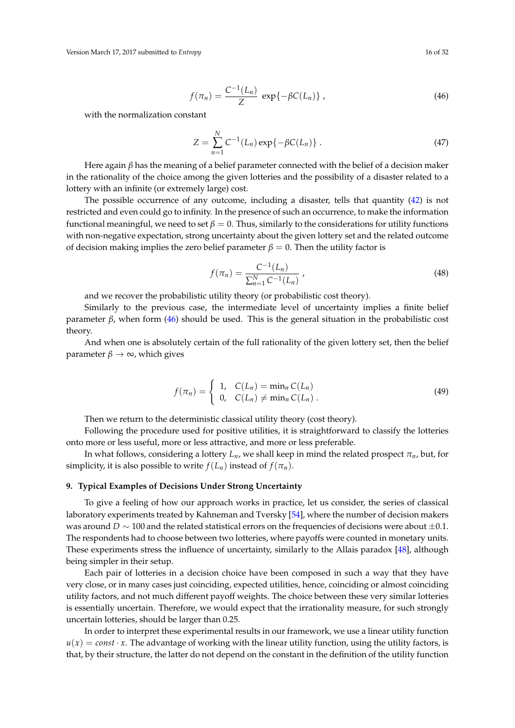<span id="page-15-0"></span>
$$
f(\pi_n) = \frac{C^{-1}(L_n)}{Z} \exp\{-\beta C(L_n)\},
$$
 (46)

with the normalization constant

$$
Z = \sum_{n=1}^{N} C^{-1}(L_n) \exp\{-\beta C(L_n)\}.
$$
 (47)

Here again *β* has the meaning of a belief parameter connected with the belief of a decision maker in the rationality of the choice among the given lotteries and the possibility of a disaster related to a lottery with an infinite (or extremely large) cost.

The possible occurrence of any outcome, including a disaster, tells that quantity [\(42\)](#page-14-1) is not restricted and even could go to infinity. In the presence of such an occurrence, to make the information functional meaningful, we need to set  $\beta = 0$ . Thus, similarly to the considerations for utility functions with non-negative expectation, strong uncertainty about the given lottery set and the related outcome of decision making implies the zero belief parameter  $\beta = 0$ . Then the utility factor is

<span id="page-15-1"></span>
$$
f(\pi_n) = \frac{C^{-1}(L_n)}{\sum_{n=1}^{N} C^{-1}(L_n)},
$$
\n(48)

and we recover the probabilistic utility theory (or probabilistic cost theory).

Similarly to the previous case, the intermediate level of uncertainty implies a finite belief parameter *β*, when form [\(46\)](#page-15-0) should be used. This is the general situation in the probabilistic cost theory.

And when one is absolutely certain of the full rationality of the given lottery set, then the belief parameter  $\beta \to \infty$ , which gives

$$
f(\pi_n) = \begin{cases} 1, & C(L_n) = \min_n C(L_n) \\ 0, & C(L_n) \neq \min_n C(L_n) \end{cases} \tag{49}
$$

Then we return to the deterministic classical utility theory (cost theory).

Following the procedure used for positive utilities, it is straightforward to classify the lotteries onto more or less useful, more or less attractive, and more or less preferable.

In what follows, considering a lottery  $L_n$ , we shall keep in mind the related prospect  $\pi_n$ , but, for simplicity, it is also possible to write  $f(L_n)$  instead of  $f(\pi_n)$ .

### **9. Typical Examples of Decisions Under Strong Uncertainty**

To give a feeling of how our approach works in practice, let us consider, the series of classical laboratory experiments treated by Kahneman and Tversky [\[54\]](#page-29-6), where the number of decision makers was around *D* ∼ 100 and the related statistical errors on the frequencies of decisions were about ±0.1. The respondents had to choose between two lotteries, where payoffs were counted in monetary units. These experiments stress the influence of uncertainty, similarly to the Allais paradox [\[48\]](#page-29-0), although being simpler in their setup.

Each pair of lotteries in a decision choice have been composed in such a way that they have very close, or in many cases just coinciding, expected utilities, hence, coinciding or almost coinciding utility factors, and not much different payoff weights. The choice between these very similar lotteries is essentially uncertain. Therefore, we would expect that the irrationality measure, for such strongly uncertain lotteries, should be larger than 0.25.

In order to interpret these experimental results in our framework, we use a linear utility function  $u(x) = const \cdot x$ . The advantage of working with the linear utility function, using the utility factors, is that, by their structure, the latter do not depend on the constant in the definition of the utility function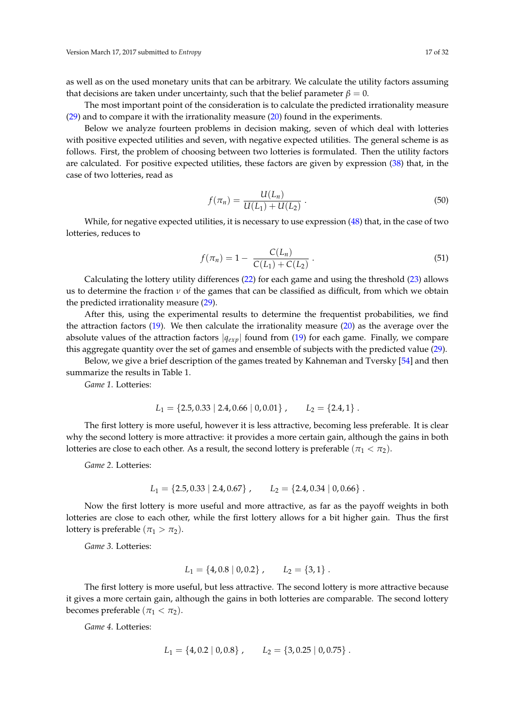as well as on the used monetary units that can be arbitrary. We calculate the utility factors assuming that decisions are taken under uncertainty, such that the belief parameter  $\beta = 0$ .

The most important point of the consideration is to calculate the predicted irrationality measure [\(29\)](#page-11-3) and to compare it with the irrationality measure [\(20\)](#page-9-0) found in the experiments.

Below we analyze fourteen problems in decision making, seven of which deal with lotteries with positive expected utilities and seven, with negative expected utilities. The general scheme is as follows. First, the problem of choosing between two lotteries is formulated. Then the utility factors are calculated. For positive expected utilities, these factors are given by expression [\(38\)](#page-13-4) that, in the case of two lotteries, read as

$$
f(\pi_n) = \frac{U(L_n)}{U(L_1) + U(L_2)}.
$$
\n(50)

While, for negative expected utilities, it is necessary to use expression [\(48\)](#page-15-1) that, in the case of two lotteries, reduces to

$$
f(\pi_n) = 1 - \frac{C(L_n)}{C(L_1) + C(L_2)}.
$$
\n(51)

Calculating the lottery utility differences [\(22\)](#page-10-0) for each game and using the threshold [\(23\)](#page-10-1) allows us to determine the fraction *ν* of the games that can be classified as difficult, from which we obtain the predicted irrationality measure [\(29\)](#page-11-3).

After this, using the experimental results to determine the frequentist probabilities, we find the attraction factors [\(19\)](#page-8-3). We then calculate the irrationality measure [\(20\)](#page-9-0) as the average over the absolute values of the attraction factors |*qexp*| found from [\(19\)](#page-8-3) for each game. Finally, we compare this aggregate quantity over the set of games and ensemble of subjects with the predicted value [\(29\)](#page-11-3).

Below, we give a brief description of the games treated by Kahneman and Tversky [\[54\]](#page-29-6) and then summarize the results in Table 1.

*Game 1*. Lotteries:

$$
L_1 = \{2.5, 0.33 \mid 2.4, 0.66 \mid 0, 0.01\}, \qquad L_2 = \{2.4, 1\}.
$$

The first lottery is more useful, however it is less attractive, becoming less preferable. It is clear why the second lottery is more attractive: it provides a more certain gain, although the gains in both lotteries are close to each other. As a result, the second lottery is preferable ( $\pi_1 < \pi_2$ ).

*Game 2*. Lotteries:

$$
L_1 = \{2.5, 0.33 \mid 2.4, 0.67\}, \qquad L_2 = \{2.4, 0.34 \mid 0, 0.66\}.
$$

Now the first lottery is more useful and more attractive, as far as the payoff weights in both lotteries are close to each other, while the first lottery allows for a bit higher gain. Thus the first lottery is preferable ( $\pi_1 > \pi_2$ ).

*Game 3*. Lotteries:

$$
L_1 = \{4, 0.8 \mid 0, 0.2\}, \qquad L_2 = \{3, 1\}.
$$

The first lottery is more useful, but less attractive. The second lottery is more attractive because it gives a more certain gain, although the gains in both lotteries are comparable. The second lottery becomes preferable  $(\pi_1 < \pi_2)$ .

*Game 4*. Lotteries:

$$
L_1 = \{4, 0.2 \mid 0, 0.8\}, \qquad L_2 = \{3, 0.25 \mid 0, 0.75\}.
$$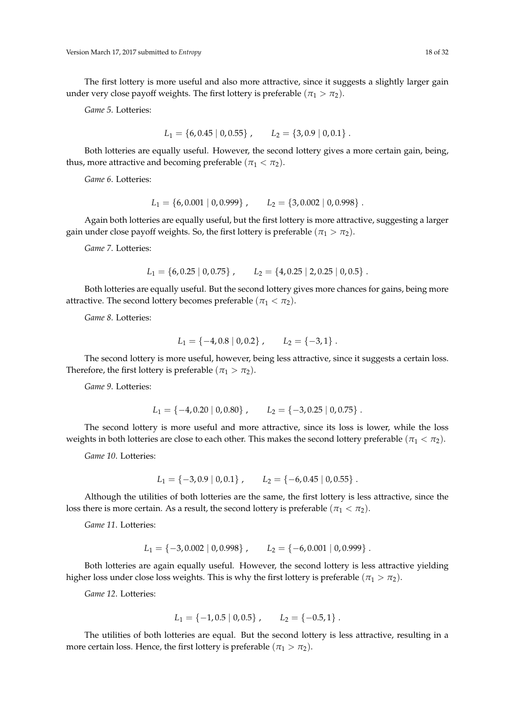The first lottery is more useful and also more attractive, since it suggests a slightly larger gain under very close payoff weights. The first lottery is preferable ( $\pi_1 > \pi_2$ ).

*Game 5*. Lotteries:

$$
L_1 = \{6, 0.45 \mid 0, 0.55\}, \qquad L_2 = \{3, 0.9 \mid 0, 0.1\}.
$$

Both lotteries are equally useful. However, the second lottery gives a more certain gain, being, thus, more attractive and becoming preferable ( $\pi_1 < \pi_2$ ).

*Game 6*. Lotteries:

$$
L_1 = \{6, 0.001 \mid 0, 0.999\}, \qquad L_2 = \{3, 0.002 \mid 0, 0.998\}.
$$

Again both lotteries are equally useful, but the first lottery is more attractive, suggesting a larger gain under close payoff weights. So, the first lottery is preferable ( $\pi_1 > \pi_2$ ).

*Game 7*. Lotteries:

$$
L_1 = \{6, 0.25 \mid 0, 0.75\}, \qquad L_2 = \{4, 0.25 \mid 2, 0.25 \mid 0, 0.5\}.
$$

Both lotteries are equally useful. But the second lottery gives more chances for gains, being more attractive. The second lottery becomes preferable  $(\pi_1 < \pi_2)$ .

*Game 8*. Lotteries:

$$
L_1 = \{-4, 0.8 \mid 0, 0.2\}, \qquad L_2 = \{-3, 1\}.
$$

The second lottery is more useful, however, being less attractive, since it suggests a certain loss. Therefore, the first lottery is preferable ( $\pi_1 > \pi_2$ ).

*Game 9*. Lotteries:

$$
L_1 = \{-4, 0.20 \mid 0, 0.80\}, \qquad L_2 = \{-3, 0.25 \mid 0, 0.75\}.
$$

The second lottery is more useful and more attractive, since its loss is lower, while the loss weights in both lotteries are close to each other. This makes the second lottery preferable ( $\pi_1 < \pi_2$ ).

*Game 10*. Lotteries:

$$
L_1 = \{-3, 0.9 \mid 0, 0.1\}, \qquad L_2 = \{-6, 0.45 \mid 0, 0.55\}.
$$

Although the utilities of both lotteries are the same, the first lottery is less attractive, since the loss there is more certain. As a result, the second lottery is preferable  $(\pi_1 < \pi_2)$ .

*Game 11*. Lotteries:

$$
L_1 = \{-3, 0.002 \mid 0, 0.998\}, \qquad L_2 = \{-6, 0.001 \mid 0, 0.999\}.
$$

Both lotteries are again equally useful. However, the second lottery is less attractive yielding higher loss under close loss weights. This is why the first lottery is preferable ( $\pi_1 > \pi_2$ ).

*Game 12*. Lotteries:

$$
L_1 = \{-1, 0.5 \mid 0, 0.5\}, \qquad L_2 = \{-0.5, 1\}.
$$

The utilities of both lotteries are equal. But the second lottery is less attractive, resulting in a more certain loss. Hence, the first lottery is preferable  $(\pi_1 > \pi_2)$ .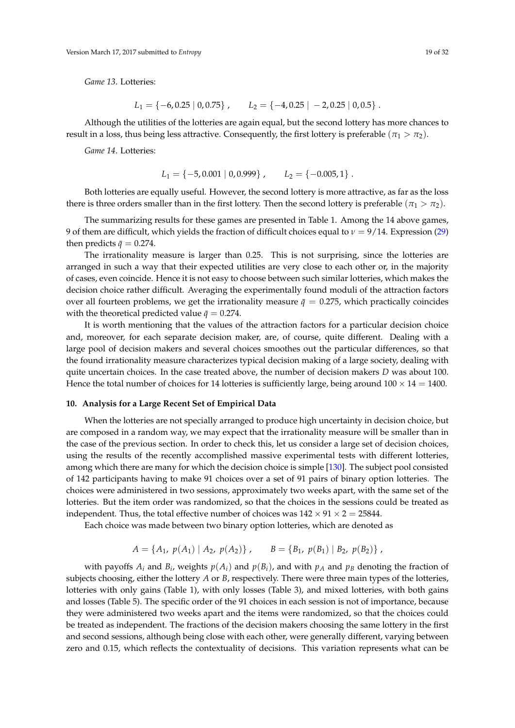*Game 13*. Lotteries:

$$
L_1 = \{-6, 0.25 \mid 0, 0.75\}, \qquad L_2 = \{-4, 0.25 \mid -2, 0.25 \mid 0, 0.5\}.
$$

Although the utilities of the lotteries are again equal, but the second lottery has more chances to result in a loss, thus being less attractive. Consequently, the first lottery is preferable ( $\pi_1 > \pi_2$ ).

*Game 14*. Lotteries:

$$
L_1 = \{-5, 0.001 \mid 0, 0.999\}, \qquad L_2 = \{-0.005, 1\}.
$$

Both lotteries are equally useful. However, the second lottery is more attractive, as far as the loss there is three orders smaller than in the first lottery. Then the second lottery is preferable ( $\pi_1 > \pi_2$ ).

The summarizing results for these games are presented in Table 1. Among the 14 above games, 9 of them are difficult, which yields the fraction of difficult choices equal to  $\nu = 9/14$ . Expression [\(29\)](#page-11-3) then predicts  $\bar{q} = 0.274$ .

The irrationality measure is larger than 0.25. This is not surprising, since the lotteries are arranged in such a way that their expected utilities are very close to each other or, in the majority of cases, even coincide. Hence it is not easy to choose between such similar lotteries, which makes the decision choice rather difficult. Averaging the experimentally found moduli of the attraction factors over all fourteen problems, we get the irrationality measure  $\bar{q} = 0.275$ , which practically coincides with the theoretical predicted value  $\bar{q} = 0.274$ .

It is worth mentioning that the values of the attraction factors for a particular decision choice and, moreover, for each separate decision maker, are, of course, quite different. Dealing with a large pool of decision makers and several choices smoothes out the particular differences, so that the found irrationality measure characterizes typical decision making of a large society, dealing with quite uncertain choices. In the case treated above, the number of decision makers *D* was about 100. Hence the total number of choices for 14 lotteries is sufficiently large, being around  $100 \times 14 = 1400$ .

## **10. Analysis for a Large Recent Set of Empirical Data**

When the lotteries are not specially arranged to produce high uncertainty in decision choice, but are composed in a random way, we may expect that the irrationality measure will be smaller than in the case of the previous section. In order to check this, let us consider a large set of decision choices, using the results of the recently accomplished massive experimental tests with different lotteries, among which there are many for which the decision choice is simple [\[130\]](#page-31-11). The subject pool consisted of 142 participants having to make 91 choices over a set of 91 pairs of binary option lotteries. The choices were administered in two sessions, approximately two weeks apart, with the same set of the lotteries. But the item order was randomized, so that the choices in the sessions could be treated as independent. Thus, the total effective number of choices was  $142 \times 91 \times 2 = 25844$ .

Each choice was made between two binary option lotteries, which are denoted as

$$
A = \{A_1, p(A_1) | A_2, p(A_2)\}, \qquad B = \{B_1, p(B_1) | B_2, p(B_2)\}\,
$$

with payoffs  $A_i$  and  $B_i$ , weights  $p(A_i)$  and  $p(B_i)$ , and with  $p_A$  and  $p_B$  denoting the fraction of subjects choosing, either the lottery *A* or *B*, respectively. There were three main types of the lotteries, lotteries with only gains (Table 1), with only losses (Table 3), and mixed lotteries, with both gains and losses (Table 5). The specific order of the 91 choices in each session is not of importance, because they were administered two weeks apart and the items were randomized, so that the choices could be treated as independent. The fractions of the decision makers choosing the same lottery in the first and second sessions, although being close with each other, were generally different, varying between zero and 0.15, which reflects the contextuality of decisions. This variation represents what can be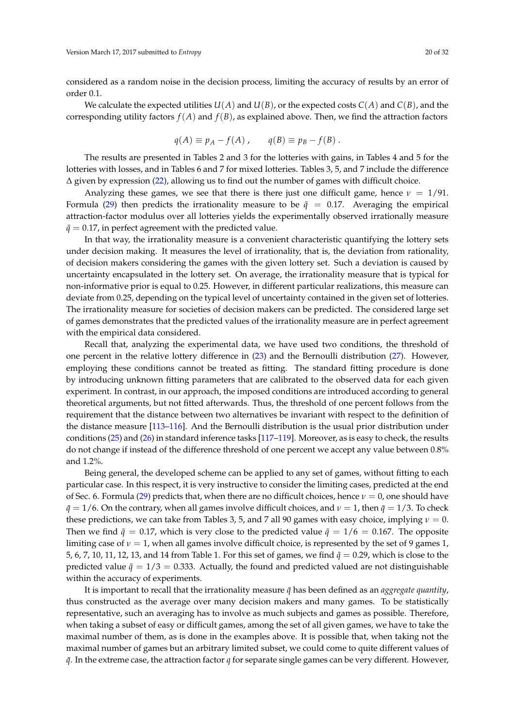considered as a random noise in the decision process, limiting the accuracy of results by an error of order 0.1.

We calculate the expected utilities  $U(A)$  and  $U(B)$ , or the expected costs  $C(A)$  and  $C(B)$ , and the corresponding utility factors  $f(A)$  and  $f(B)$ , as explained above. Then, we find the attraction factors

$$
q(A) \equiv p_A - f(A) , \qquad q(B) \equiv p_B - f(B) .
$$

The results are presented in Tables 2 and 3 for the lotteries with gains, in Tables 4 and 5 for the lotteries with losses, and in Tables 6 and 7 for mixed lotteries. Tables 3, 5, and 7 include the difference  $\Delta$  given by expression [\(22\)](#page-10-0), allowing us to find out the number of games with difficult choice.

Analyzing these games, we see that there is there just one difficult game, hence  $\nu = 1/91$ . Formula [\(29\)](#page-11-3) then predicts the irrationality measure to be  $\bar{q} = 0.17$ . Averaging the empirical attraction-factor modulus over all lotteries yields the experimentally observed irrationally measure  $\bar{q} = 0.17$ , in perfect agreement with the predicted value.

In that way, the irrationality measure is a convenient characteristic quantifying the lottery sets under decision making. It measures the level of irrationality, that is, the deviation from rationality, of decision makers considering the games with the given lottery set. Such a deviation is caused by uncertainty encapsulated in the lottery set. On average, the irrationality measure that is typical for non-informative prior is equal to 0.25. However, in different particular realizations, this measure can deviate from 0.25, depending on the typical level of uncertainty contained in the given set of lotteries. The irrationality measure for societies of decision makers can be predicted. The considered large set of games demonstrates that the predicted values of the irrationality measure are in perfect agreement with the empirical data considered.

Recall that, analyzing the experimental data, we have used two conditions, the threshold of one percent in the relative lottery difference in [\(23\)](#page-10-1) and the Bernoulli distribution [\(27\)](#page-11-2). However, employing these conditions cannot be treated as fitting. The standard fitting procedure is done by introducing unknown fitting parameters that are calibrated to the observed data for each given experiment. In contrast, in our approach, the imposed conditions are introduced according to general theoretical arguments, but not fitted afterwards. Thus, the threshold of one percent follows from the requirement that the distance between two alternatives be invariant with respect to the definition of the distance measure [\[113–](#page-30-17)[116\]](#page-31-0). And the Bernoulli distribution is the usual prior distribution under conditions [\(25\)](#page-11-0) and [\(26\)](#page-11-1) in standard inference tasks [\[117–](#page-31-1)[119\]](#page-31-2). Moreover, as is easy to check, the results do not change if instead of the difference threshold of one percent we accept any value between 0.8% and 1.2%.

Being general, the developed scheme can be applied to any set of games, without fitting to each particular case. In this respect, it is very instructive to consider the limiting cases, predicted at the end of Sec. 6. Formula [\(29\)](#page-11-3) predicts that, when there are no difficult choices, hence *ν* = 0, one should have  $\bar{q} = 1/6$ . On the contrary, when all games involve difficult choices, and  $\nu = 1$ , then  $\bar{q} = 1/3$ . To check these predictions, we can take from Tables 3, 5, and 7 all 90 games with easy choice, implying  $\nu = 0$ . Then we find  $\bar{q} = 0.17$ , which is very close to the predicted value  $\bar{q} = 1/6 = 0.167$ . The opposite limiting case of  $\nu = 1$ , when all games involve difficult choice, is represented by the set of 9 games 1, 5, 6, 7, 10, 11, 12, 13, and 14 from Table 1. For this set of games, we find  $\bar{q}=0.29$ , which is close to the predicted value  $\bar{q} = 1/3 = 0.333$ . Actually, the found and predicted valued are not distinguishable within the accuracy of experiments.

It is important to recall that the irrationality measure  $\bar{q}$  has been defined as an *aggregate quantity*, thus constructed as the average over many decision makers and many games. To be statistically representative, such an averaging has to involve as much subjects and games as possible. Therefore, when taking a subset of easy or difficult games, among the set of all given games, we have to take the maximal number of them, as is done in the examples above. It is possible that, when taking not the maximal number of games but an arbitrary limited subset, we could come to quite different values of *q*¯. In the extreme case, the attraction factor *q* for separate single games can be very different. However,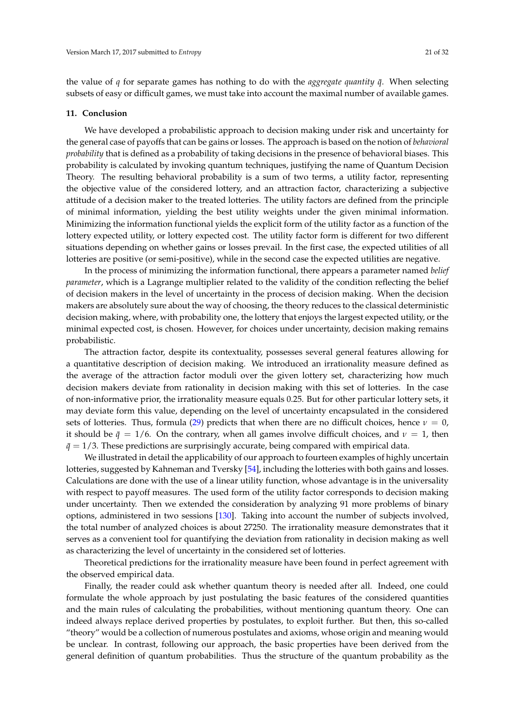the value of *q* for separate games has nothing to do with the *aggregate quantity q*¯. When selecting subsets of easy or difficult games, we must take into account the maximal number of available games.

#### **11. Conclusion**

We have developed a probabilistic approach to decision making under risk and uncertainty for the general case of payoffs that can be gains or losses. The approach is based on the notion of *behavioral probability* that is defined as a probability of taking decisions in the presence of behavioral biases. This probability is calculated by invoking quantum techniques, justifying the name of Quantum Decision Theory. The resulting behavioral probability is a sum of two terms, a utility factor, representing the objective value of the considered lottery, and an attraction factor, characterizing a subjective attitude of a decision maker to the treated lotteries. The utility factors are defined from the principle of minimal information, yielding the best utility weights under the given minimal information. Minimizing the information functional yields the explicit form of the utility factor as a function of the lottery expected utility, or lottery expected cost. The utility factor form is different for two different situations depending on whether gains or losses prevail. In the first case, the expected utilities of all lotteries are positive (or semi-positive), while in the second case the expected utilities are negative.

In the process of minimizing the information functional, there appears a parameter named *belief parameter*, which is a Lagrange multiplier related to the validity of the condition reflecting the belief of decision makers in the level of uncertainty in the process of decision making. When the decision makers are absolutely sure about the way of choosing, the theory reduces to the classical deterministic decision making, where, with probability one, the lottery that enjoys the largest expected utility, or the minimal expected cost, is chosen. However, for choices under uncertainty, decision making remains probabilistic.

The attraction factor, despite its contextuality, possesses several general features allowing for a quantitative description of decision making. We introduced an irrationality measure defined as the average of the attraction factor moduli over the given lottery set, characterizing how much decision makers deviate from rationality in decision making with this set of lotteries. In the case of non-informative prior, the irrationality measure equals 0.25. But for other particular lottery sets, it may deviate form this value, depending on the level of uncertainty encapsulated in the considered sets of lotteries. Thus, formula [\(29\)](#page-11-3) predicts that when there are no difficult choices, hence  $\nu = 0$ , it should be  $\bar{q} = 1/6$ . On the contrary, when all games involve difficult choices, and  $\nu = 1$ , then  $\bar{q}$  = 1/3. These predictions are surprisingly accurate, being compared with empirical data.

We illustrated in detail the applicability of our approach to fourteen examples of highly uncertain lotteries, suggested by Kahneman and Tversky [\[54\]](#page-29-6), including the lotteries with both gains and losses. Calculations are done with the use of a linear utility function, whose advantage is in the universality with respect to payoff measures. The used form of the utility factor corresponds to decision making under uncertainty. Then we extended the consideration by analyzing 91 more problems of binary options, administered in two sessions [\[130\]](#page-31-11). Taking into account the number of subjects involved, the total number of analyzed choices is about 27250. The irrationality measure demonstrates that it serves as a convenient tool for quantifying the deviation from rationality in decision making as well as characterizing the level of uncertainty in the considered set of lotteries.

Theoretical predictions for the irrationality measure have been found in perfect agreement with the observed empirical data.

Finally, the reader could ask whether quantum theory is needed after all. Indeed, one could formulate the whole approach by just postulating the basic features of the considered quantities and the main rules of calculating the probabilities, without mentioning quantum theory. One can indeed always replace derived properties by postulates, to exploit further. But then, this so-called "theory" would be a collection of numerous postulates and axioms, whose origin and meaning would be unclear. In contrast, following our approach, the basic properties have been derived from the general definition of quantum probabilities. Thus the structure of the quantum probability as the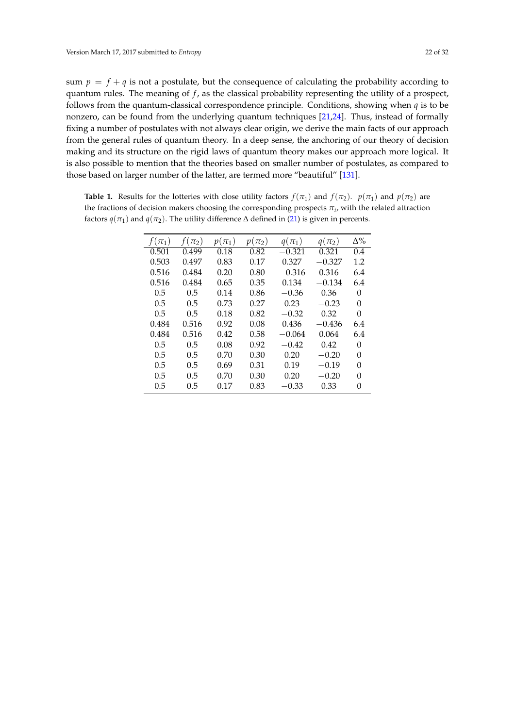sum  $p = f + q$  is not a postulate, but the consequence of calculating the probability according to quantum rules. The meaning of *f* , as the classical probability representing the utility of a prospect, follows from the quantum-classical correspondence principle. Conditions, showing when *q* is to be nonzero, can be found from the underlying quantum techniques [\[21,](#page-28-26)[24\]](#page-28-6). Thus, instead of formally fixing a number of postulates with not always clear origin, we derive the main facts of our approach from the general rules of quantum theory. In a deep sense, the anchoring of our theory of decision making and its structure on the rigid laws of quantum theory makes our approach more logical. It is also possible to mention that the theories based on smaller number of postulates, as compared to those based on larger number of the latter, are termed more "beautiful" [\[131\]](#page-31-12).

| $(\pi_1)$ | $(\pi_2)$ | $p(\pi_1)$ | $p(\pi_2)$ | $q(\pi_1)$ | $q(\pi_2)$ | $\Delta\%$ |
|-----------|-----------|------------|------------|------------|------------|------------|
| 0.501     | 0.499     | 0.18       | 0.82       | $-0.321$   | 0.321      | 0.4        |
| 0.503     | 0.497     | 0.83       | 0.17       | 0.327      | $-0.327$   | 1.2        |
| 0.516     | 0.484     | 0.20       | 0.80       | $-0.316$   | 0.316      | 6.4        |
| 0.516     | 0.484     | 0.65       | 0.35       | 0.134      | $-0.134$   | 6.4        |
| 0.5       | 0.5       | 0.14       | 0.86       | $-0.36$    | 0.36       | O          |
| 0.5       | 0.5       | 0.73       | 0.27       | 0.23       | $-0.23$    | 0          |
| 0.5       | 0.5       | 0.18       | 0.82       | $-0.32$    | 0.32       | 0          |
| 0.484     | 0.516     | 0.92       | 0.08       | 0.436      | $-0.436$   | 6.4        |
| 0.484     | 0.516     | 0.42       | 0.58       | $-0.064$   | 0.064      | 6.4        |
| 0.5       | 0.5       | 0.08       | 0.92       | $-0.42$    | 0.42       | 0          |
| 0.5       | 0.5       | 0.70       | 0.30       | 0.20       | $-0.20$    | 0          |
| 0.5       | 0.5       | 0.69       | 0.31       | 0.19       | $-0.19$    | O          |
| 0.5       | 0.5       | 0.70       | 0.30       | 0.20       | $-0.20$    | 0          |
| 0.5       | 0.5       | 0.17       | 0.83       | $-0.33$    | 0.33       | O          |

**Table 1.** Results for the lotteries with close utility factors  $f(\pi_1)$  and  $f(\pi_2)$ .  $p(\pi_1)$  and  $p(\pi_2)$  are the fractions of decision makers choosing the corresponding prospects *π<sup>i</sup>* , with the related attraction factors  $q(\pi_1)$  and  $q(\pi_2)$ . The utility difference  $\Delta$  defined in [\(21\)](#page-10-2) is given in percents.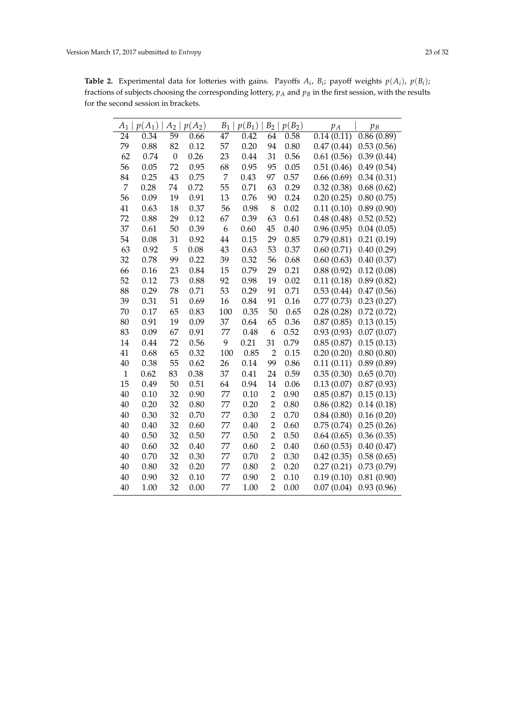**Table 2.** Experimental data for lotteries with gains. Payoffs  $A_i$ ,  $B_i$ ; payoff weights  $p(A_i)$ ,  $p(B_i)$ ; fractions of subjects choosing the corresponding lottery,  $p_A$  and  $p_B$  in the first session, with the results for the second session in brackets.

| $A_1$        | $p(A_1)$ | A <sub>2</sub>   | $p(A_2)$ | $B_1$          | $p(B_1)$ | $\mathcal{B}_2$ | $p(B_2)$ | $p_A$      | $p_B$      |
|--------------|----------|------------------|----------|----------------|----------|-----------------|----------|------------|------------|
| 24           | 0.34     | 59               | 0.66     | 47             | 0.42     | 64              | 0.58     | 0.14(0.11) | 0.86(0.89) |
| 79           | 0.88     | 82               | 0.12     | 57             | 0.20     | 94              | 0.80     | 0.47(0.44) | 0.53(0.56) |
| 62           | 0.74     | $\boldsymbol{0}$ | 0.26     | 23             | 0.44     | 31              | 0.56     | 0.61(0.56) | 0.39(0.44) |
| 56           | 0.05     | 72               | 0.95     | 68             | 0.95     | 95              | 0.05     | 0.51(0.46) | 0.49(0.54) |
| 84           | 0.25     | 43               | 0.75     | $\overline{7}$ | 0.43     | 97              | 0.57     | 0.66(0.69) | 0.34(0.31) |
| 7            | 0.28     | 74               | 0.72     | 55             | 0.71     | 63              | 0.29     | 0.32(0.38) | 0.68(0.62) |
| 56           | 0.09     | 19               | 0.91     | 13             | 0.76     | 90              | 0.24     | 0.20(0.25) | 0.80(0.75) |
| 41           | 0.63     | 18               | 0.37     | 56             | 0.98     | $\,8\,$         | 0.02     | 0.11(0.10) | 0.89(0.90) |
| 72           | 0.88     | 29               | 0.12     | 67             | 0.39     | 63              | 0.61     | 0.48(0.48) | 0.52(0.52) |
| 37           | 0.61     | 50               | 0.39     | 6              | 0.60     | 45              | 0.40     | 0.96(0.95) | 0.04(0.05) |
| 54           | 0.08     | 31               | 0.92     | 44             | 0.15     | 29              | 0.85     | 0.79(0.81) | 0.21(0.19) |
| 63           | 0.92     | 5                | 0.08     | 43             | 0.63     | 53              | 0.37     | 0.60(0.71) | 0.40(0.29) |
| 32           | 0.78     | 99               | 0.22     | 39             | 0.32     | 56              | 0.68     | 0.60(0.63) | 0.40(0.37) |
| 66           | 0.16     | 23               | 0.84     | 15             | 0.79     | 29              | 0.21     | 0.88(0.92) | 0.12(0.08) |
| 52           | 0.12     | 73               | 0.88     | 92             | 0.98     | 19              | 0.02     | 0.11(0.18) | 0.89(0.82) |
| 88           | 0.29     | 78               | 0.71     | 53             | 0.29     | 91              | 0.71     | 0.53(0.44) | 0.47(0.56) |
| 39           | 0.31     | 51               | 0.69     | 16             | 0.84     | 91              | 0.16     | 0.77(0.73) | 0.23(0.27) |
| 70           | 0.17     | 65               | 0.83     | 100            | 0.35     | 50              | 0.65     | 0.28(0.28) | 0.72(0.72) |
| 80           | 0.91     | 19               | 0.09     | 37             | 0.64     | 65              | 0.36     | 0.87(0.85) | 0.13(0.15) |
| 83           | 0.09     | 67               | 0.91     | 77             | 0.48     | 6               | 0.52     | 0.93(0.93) | 0.07(0.07) |
| 14           | 0.44     | 72               | 0.56     | 9              | 0.21     | 31              | 0.79     | 0.85(0.87) | 0.15(0.13) |
| 41           | 0.68     | 65               | 0.32     | 100            | 0.85     | $\overline{2}$  | 0.15     | 0.20(0.20) | 0.80(0.80) |
| 40           | 0.38     | 55               | 0.62     | 26             | 0.14     | 99              | 0.86     | 0.11(0.11) | 0.89(0.89) |
| $\mathbf{1}$ | 0.62     | 83               | 0.38     | 37             | 0.41     | 24              | 0.59     | 0.35(0.30) | 0.65(0.70) |
| 15           | 0.49     | 50               | 0.51     | 64             | 0.94     | 14              | 0.06     | 0.13(0.07) | 0.87(0.93) |
| 40           | 0.10     | 32               | 0.90     | 77             | 0.10     | $\overline{2}$  | 0.90     | 0.85(0.87) | 0.15(0.13) |
| 40           | 0.20     | 32               | 0.80     | 77             | 0.20     | $\overline{2}$  | 0.80     | 0.86(0.82) | 0.14(0.18) |
| 40           | 0.30     | 32               | 0.70     | 77             | 0.30     | $\overline{2}$  | 0.70     | 0.84(0.80) | 0.16(0.20) |
| 40           | 0.40     | 32               | 0.60     | 77             | 0.40     | $\overline{2}$  | 0.60     | 0.75(0.74) | 0.25(0.26) |
| 40           | 0.50     | 32               | 0.50     | 77             | 0.50     | $\overline{2}$  | 0.50     | 0.64(0.65) | 0.36(0.35) |
| 40           | 0.60     | 32               | 0.40     | 77             | 0.60     | $\overline{2}$  | 0.40     | 0.60(0.53) | 0.40(0.47) |
| 40           | 0.70     | 32               | 0.30     | 77             | 0.70     | $\overline{2}$  | 0.30     | 0.42(0.35) | 0.58(0.65) |
| 40           | 0.80     | 32               | 0.20     | 77             | 0.80     | $\overline{2}$  | 0.20     | 0.27(0.21) | 0.73(0.79) |
| 40           | 0.90     | 32               | 0.10     | 77             | 0.90     | $\overline{2}$  | 0.10     | 0.19(0.10) | 0.81(0.90) |
| 40           | 1.00     | 32               | 0.00     | 77             | 1.00     | $\overline{2}$  | 0.00     | 0.07(0.04) | 0.93(0.96) |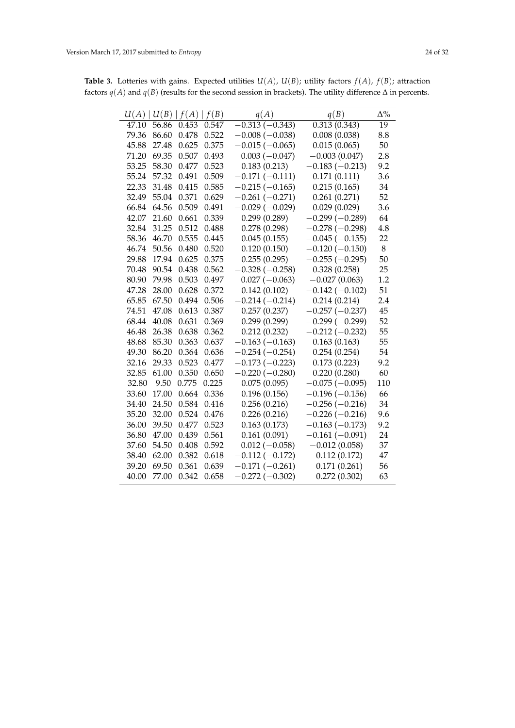| U(A)               | U(B)  | f(A)  | f(B)  | q(A)             | q(B)                      | $\Delta\%$ |
|--------------------|-------|-------|-------|------------------|---------------------------|------------|
| $\overline{47.10}$ | 56.86 | 0.453 | 0.547 | $-0.313(-0.343)$ | $0.\overline{313(0.343)}$ | 19         |
| 79.36              | 86.60 | 0.478 | 0.522 | $-0.008(-0.038)$ | 0.008(0.038)              | 8.8        |
| 45.88              | 27.48 | 0.625 | 0.375 | $-0.015(-0.065)$ | 0.015(0.065)              | 50         |
| 71.20              | 69.35 | 0.507 | 0.493 | $0.003(-0.047)$  | $-0.003(0.047)$           | 2.8        |
| 53.25              | 58.30 | 0.477 | 0.523 | 0.183(0.213)     | $-0.183(-0.213)$          | 9.2        |
| 55.24              | 57.32 | 0.491 | 0.509 | $-0.171(-0.111)$ | 0.171(0.111)              | 3.6        |
| 22.33              | 31.48 | 0.415 | 0.585 | $-0.215(-0.165)$ | 0.215(0.165)              | 34         |
| 32.49              | 55.04 | 0.371 | 0.629 | $-0.261(-0.271)$ | 0.261(0.271)              | 52         |
| 66.84              | 64.56 | 0.509 | 0.491 | $-0.029(-0.029)$ | 0.029(0.029)              | 3.6        |
| 42.07              | 21.60 | 0.661 | 0.339 | 0.299(0.289)     | $-0.299(-0.289)$          | 64         |
| 32.84              | 31.25 | 0.512 | 0.488 | 0.278(0.298)     | $-0.278(-0.298)$          | 4.8        |
| 58.36              | 46.70 | 0.555 | 0.445 | 0.045(0.155)     | $-0.045(-0.155)$          | 22         |
| 46.74              | 50.56 | 0.480 | 0.520 | 0.120(0.150)     | $-0.120(-0.150)$          | 8          |
| 29.88              | 17.94 | 0.625 | 0.375 | 0.255(0.295)     | $-0.255(-0.295)$          | 50         |
| 70.48              | 90.54 | 0.438 | 0.562 | $-0.328(-0.258)$ | 0.328(0.258)              | 25         |
| 80.90              | 79.98 | 0.503 | 0.497 | $0.027(-0.063)$  | $-0.027(0.063)$           | 1.2        |
| 47.28              | 28.00 | 0.628 | 0.372 | 0.142(0.102)     | $-0.142(-0.102)$          | 51         |
| 65.85              | 67.50 | 0.494 | 0.506 | $-0.214(-0.214)$ | 0.214(0.214)              | 2.4        |
| 74.51              | 47.08 | 0.613 | 0.387 | 0.257(0.237)     | $-0.257(-0.237)$          | 45         |
| 68.44              | 40.08 | 0.631 | 0.369 | 0.299(0.299)     | $-0.299(-0.299)$          | 52         |
| 46.48              | 26.38 | 0.638 | 0.362 | 0.212(0.232)     | $-0.212(-0.232)$          | 55         |
| 48.68              | 85.30 | 0.363 | 0.637 | $-0.163(-0.163)$ | 0.163(0.163)              | 55         |
| 49.30              | 86.20 | 0.364 | 0.636 | $-0.254(-0.254)$ | 0.254(0.254)              | 54         |
| 32.16              | 29.33 | 0.523 | 0.477 | $-0.173(-0.223)$ | 0.173(0.223)              | 9.2        |
| 32.85              | 61.00 | 0.350 | 0.650 | $-0.220(-0.280)$ | 0.220(0.280)              | 60         |
| 32.80              | 9.50  | 0.775 | 0.225 | 0.075(0.095)     | $-0.075(-0.095)$          | 110        |
| 33.60              | 17.00 | 0.664 | 0.336 | 0.196(0.156)     | $-0.196(-0.156)$          | 66         |
| 34.40              | 24.50 | 0.584 | 0.416 | 0.256(0.216)     | $-0.256(-0.216)$          | 34         |
| 35.20              | 32.00 | 0.524 | 0.476 | 0.226(0.216)     | $-0.226(-0.216)$          | 9.6        |
| 36.00              | 39.50 | 0.477 | 0.523 | 0.163(0.173)     | $-0.163(-0.173)$          | 9.2        |
| 36.80              | 47.00 | 0.439 | 0.561 | 0.161(0.091)     | $-0.161(-0.091)$          | 24         |
| 37.60              | 54.50 | 0.408 | 0.592 | $0.012 (-0.058)$ | $-0.012(0.058)$           | 37         |
| 38.40              | 62.00 | 0.382 | 0.618 | $-0.112(-0.172)$ | 0.112(0.172)              | 47         |
| 39.20              | 69.50 | 0.361 | 0.639 | $-0.171(-0.261)$ | 0.171(0.261)              | 56         |
| 40.00              | 77.00 | 0.342 | 0.658 | $-0.272(-0.302)$ | 0.272(0.302)              | 63         |

**Table 3.** Lotteries with gains. Expected utilities  $U(A)$ ,  $U(B)$ ; utility factors  $f(A)$ ,  $f(B)$ ; attraction factors  $q(A)$  and  $q(B)$  (results for the second session in brackets). The utility difference  $\Delta$  in percents.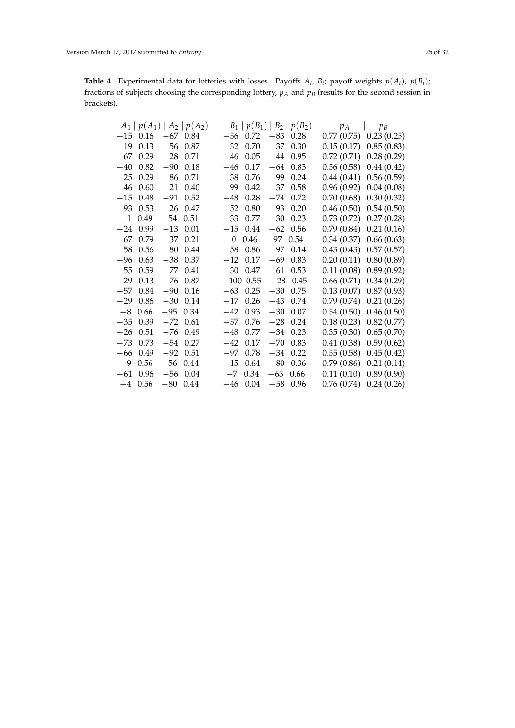**Table 4.** Experimental data for lotteries with losses. Payoffs  $A_i$ ,  $B_i$ ; payoff weights  $p(A_i)$ ,  $p(B_i)$ ; fractions of subjects choosing the corresponding lottery, *p<sup>A</sup>* and *p<sup>B</sup>* (results for the second session in brackets).

| $A_2   p(A_2)$<br>$p(A_1)$<br>$A_1$ | $p(B_2)$<br>$p(B_1)$<br>$B_2$  <br>$B_1$ | $p_A$<br>$p_B$           |
|-------------------------------------|------------------------------------------|--------------------------|
| $-15$<br>$-67$<br>0.16<br>0.84      | $-56$<br>$-83$<br>0.72<br>0.28           | 0.23(0.25)<br>0.77(0.75) |
| $-56$<br>$-19$<br>0.13<br>0.87      | $-32$<br>0.70<br>$-37$<br>0.30           | 0.15(0.17)<br>0.85(0.83) |
| 0.29<br>$-28$<br>0.71<br>$-67$      | 0.05<br>$-44$<br>0.95<br>$-46$           | 0.72(0.71)<br>0.28(0.29) |
| $-40$<br>0.82<br>$-90$<br>0.18      | 0.17<br>$-46$<br>0.83<br>$-64$           | 0.56(0.58)<br>0.44(0.42) |
| $-25$<br>0.29<br>$-86$<br>0.71      | $-99$<br>0.24<br>$-38$<br>0.76           | 0.44(0.41)<br>0.56(0.59) |
| $-46$<br>0.60<br>$-21$<br>0.40      | $-99$<br>0.42<br>0.58<br>$-37$           | 0.96(0.92)<br>0.04(0.08) |
| $-15$<br>0.48<br>$-91$<br>0.52      | 0.28<br>0.72<br>$-48$<br>$-74$           | 0.70(0.68)<br>0.30(0.32) |
| 0.53<br>$-93$<br>$-26$<br>0.47      | 0.80<br>$-52$<br>$-93$<br>0.20           | 0.46(0.50)<br>0.54(0.50) |
| 0.49<br>$-54$<br>$-1$<br>0.51       | $-33$<br>0.77<br>$-30$<br>0.23           | 0.73(0.72)<br>0.27(0.28) |
| 0.99<br>$-13$<br>0.01<br>$-24$      | 0.44<br>$-15$<br>$-62$<br>0.56           | 0.21(0.16)<br>0.79(0.84) |
| $-67$<br>0.79<br>$-37$<br>0.21      | -97<br>$\theta$<br>0.46<br>0.54          | 0.34(0.37)<br>0.66(0.63) |
| $-58$<br>0.56<br>$-80$<br>0.44      | $-58$<br>0.86<br>$-97$<br>0.14           | 0.43(0.43)<br>0.57(0.57) |
| 0.63<br>0.37<br>$-96$<br>$-38$      | 0.17<br>$-69$<br>0.83<br>$-12$           | 0.20(0.11)<br>0.80(0.89) |
| $-55$<br>0.59<br>$-77$<br>0.41      | $-30$<br>0.47<br>$-61$<br>0.53           | 0.89(0.92)<br>0.11(0.08) |
| 0.13<br>$-76$<br>$-29$<br>0.87      | $-100$ 0.55<br>0.45<br>$-28$             | 0.66(0.71)<br>0.34(0.29) |
| 0.84<br>$-57$<br>$-90$<br>0.16      | $-63$<br>0.25<br>$-30$<br>0.75           | 0.13(0.07)<br>0.87(0.93) |
| $-29$<br>0.86<br>$-30$<br>0.14      | $-43$<br>0.74<br>$-17$<br>0.26           | 0.79(0.74)<br>0.21(0.26) |
| $-8$<br>0.66<br>$-95$<br>0.34       | $-42$<br>0.93<br>$-30$<br>0.07           | 0.54(0.50)<br>0.46(0.50) |
| $-35$<br>0.39<br>$-72$<br>0.61      | $-28$<br>0.24<br>$-57$<br>0.76           | 0.18(0.23)<br>0.82(0.77) |
| 0.51<br>$-26$<br>$-76$<br>0.49      | $-48$<br>0.77<br>$-34$<br>0.23           | 0.35(0.30)<br>0.65(0.70) |
| 0.73<br>$-73$<br>$-54$<br>0.27      | $-42$<br>0.17<br>$-70$<br>0.83           | 0.41(0.38)<br>0.59(0.62) |
| 0.49<br>$-92$<br>0.51<br>$-66$      | $-97$<br>0.78<br>$-34$<br>0.22           | 0.55(0.58)<br>0.45(0.42) |
| -9<br>0.56<br>$-56$<br>0.44         | $-15$<br>$-80$<br>0.64<br>0.36           | 0.79(0.86)<br>0.21(0.14) |
| $-61$<br>0.96<br>$-56$<br>0.04      | 0.34<br>$-63$<br>$-7$<br>0.66            | 0.11(0.10)<br>0.89(0.90) |
| $-4$ 0.56<br>$-80$<br>0.44          | 0.04<br>$-58$<br>0.96<br>$-46$           | 0.76(0.74)<br>0.24(0.26) |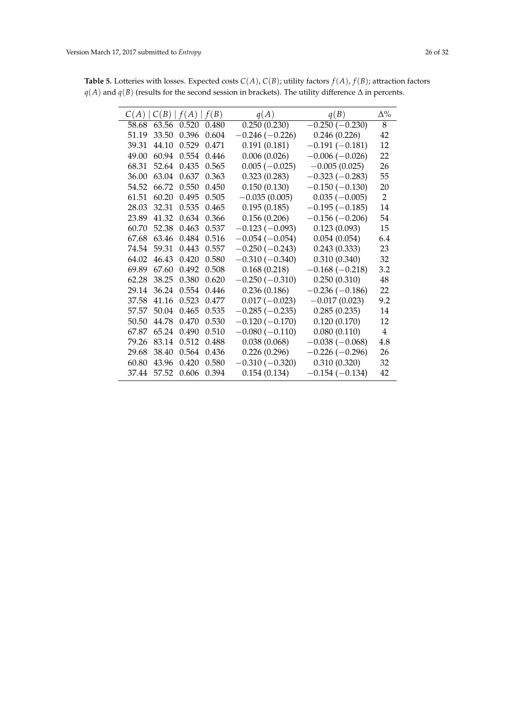| C(A)  | C(B)  | f(A)  | f(B)  | q(A)             | q(B)             | $\Delta\%$     |
|-------|-------|-------|-------|------------------|------------------|----------------|
| 58.68 | 63.56 | 0.520 | 0.480 | 0.250(0.230)     | $-0.250(-0.230)$ | $\overline{8}$ |
| 51.19 | 33.50 | 0.396 | 0.604 | $-0.246(-0.226)$ | 0.246(0.226)     | 42             |
| 39.31 | 44.10 | 0.529 | 0.471 | 0.191(0.181)     | $-0.191(-0.181)$ | 12             |
| 49.00 | 60.94 | 0.554 | 0.446 | 0.006(0.026)     | $-0.006(-0.026)$ | 22             |
| 68.31 | 52.64 | 0.435 | 0.565 | $0.005(-0.025)$  | $-0.005(0.025)$  | 26             |
| 36.00 | 63.04 | 0.637 | 0.363 | 0.323(0.283)     | $-0.323(-0.283)$ | 55             |
| 54.52 | 66.72 | 0.550 | 0.450 | 0.150(0.130)     | $-0.150(-0.130)$ | 20             |
| 61.51 | 60.20 | 0.495 | 0.505 | $-0.035(0.005)$  | $0.035(-0.005)$  | $\overline{2}$ |
| 28.03 | 32.31 | 0.535 | 0.465 | 0.195(0.185)     | $-0.195(-0.185)$ | 14             |
| 23.89 | 41.32 | 0.634 | 0.366 | 0.156(0.206)     | $-0.156(-0.206)$ | 54             |
| 60.70 | 52.38 | 0.463 | 0.537 | $-0.123(-0.093)$ | 0.123(0.093)     | 15             |
| 67.68 | 63.46 | 0.484 | 0.516 | $-0.054(-0.054)$ | 0.054(0.054)     | 6.4            |
| 74.54 | 59.31 | 0.443 | 0.557 | $-0.250(-0.243)$ | 0.243(0.333)     | 23             |
| 64.02 | 46.43 | 0.420 | 0.580 | $-0.310(-0.340)$ | 0.310(0.340)     | 32             |
| 69.89 | 67.60 | 0.492 | 0.508 | 0.168(0.218)     | $-0.168(-0.218)$ | 3.2            |
| 62.28 | 38.25 | 0.380 | 0.620 | $-0.250(-0.310)$ | 0.250(0.310)     | 48             |
| 29.14 | 36.24 | 0.554 | 0.446 | 0.236(0.186)     | $-0.236(-0.186)$ | 22             |
| 37.58 | 41.16 | 0.523 | 0.477 | $0.017(-0.023)$  | $-0.017(0.023)$  | 9.2            |
| 57.57 | 50.04 | 0.465 | 0.535 | $-0.285(-0.235)$ | 0.285(0.235)     | 14             |
| 50.50 | 44.78 | 0.470 | 0.530 | $-0.120(-0.170)$ | 0.120(0.170)     | 12             |
| 67.87 | 65.24 | 0.490 | 0.510 | $-0.080(-0.110)$ | 0.080(0.110)     | $\overline{4}$ |
| 79.26 | 83.14 | 0.512 | 0.488 | 0.038(0.068)     | $-0.038(-0.068)$ | 4.8            |
| 29.68 | 38.40 | 0.564 | 0.436 | 0.226(0.296)     | $-0.226(-0.296)$ | 26             |
| 60.80 | 43.96 | 0.420 | 0.580 | $-0.310(-0.320)$ | 0.310(0.320)     | 32             |
| 37.44 | 57.52 | 0.606 | 0.394 | 0.154(0.134)     | $-0.154(-0.134)$ | 42             |

**Table 5.** Lotteries with losses. Expected costs  $C(A)$ ,  $C(B)$ ; utility factors  $f(A)$ ,  $f(B)$ ; attraction factors *q*(*A*) and *q*(*B*) (results for the second session in brackets). The utility difference ∆ in percents.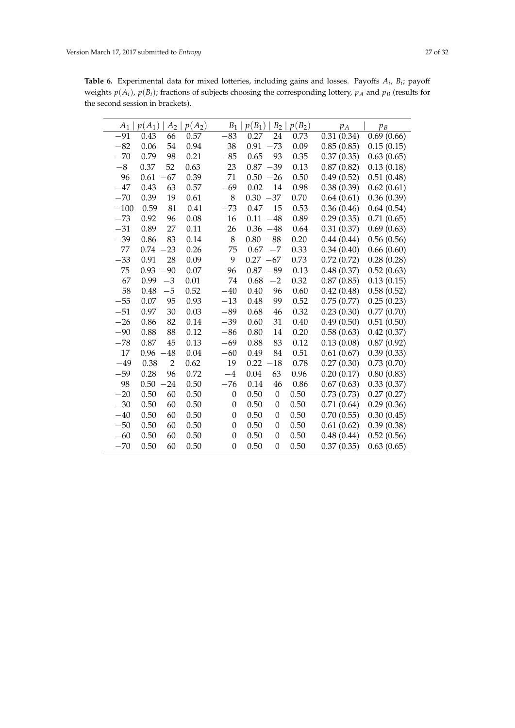**Table 6.** Experimental data for mixed lotteries, including gains and losses. Payoffs *A<sup>i</sup>* , *B<sup>i</sup>* ; payoff weights  $p(A_i)$ ,  $p(B_i)$ ; fractions of subjects choosing the corresponding lottery,  $p_A$  and  $p_B$  (results for the second session in brackets).

| $A_1$  | $p(A_1)$ | A <sub>2</sub> | $p(A_2)$ | $\boldsymbol{B}_1$ | $p(B_1)$   | $\mathcal{B}_2$ | $p(B_2)$ | $p_A$      | $p_B$      |
|--------|----------|----------------|----------|--------------------|------------|-----------------|----------|------------|------------|
| $-91$  | 0.43     | 66             | 0.57     | $-83$              | 0.27       | 24              | 0.73     | 0.31(0.34) | 0.69(0.66) |
| $-82$  | 0.06     | 54             | 0.94     | 38                 | 0.91       | $-73$           | 0.09     | 0.85(0.85) | 0.15(0.15) |
| $-70$  | 0.79     | 98             | 0.21     | $-85$              | 0.65       | 93              | 0.35     | 0.37(0.35) | 0.63(0.65) |
| $-8$   | 0.37     | 52             | 0.63     | 23                 | 0.87       | $-39$           | 0.13     | 0.87(0.82) | 0.13(0.18) |
| 96     | 0.61     | 67             | 0.39     | 71                 | 0.50       | $-26$           | 0.50     | 0.49(0.52) | 0.51(0.48) |
| $-47$  | 0.43     | 63             | 0.57     | $-69$              | 0.02       | 14              | 0.98     | 0.38(0.39) | 0.62(0.61) |
| $-70$  | 0.39     | 19             | 0.61     | 8                  | $0.30 -37$ |                 | 0.70     | 0.64(0.61) | 0.36(0.39) |
| $-100$ | 0.59     | 81             | 0.41     | $-73$              | 0.47       | 15              | 0.53     | 0.36(0.46) | 0.64(0.54) |
| $-73$  | 0.92     | 96             | 0.08     | 16                 | 0.11       | $-48$           | 0.89     | 0.29(0.35) | 0.71(0.65) |
| $-31$  | 0.89     | 27             | 0.11     | 26                 | 0.36       | $-48$           | 0.64     | 0.31(0.37) | 0.69(0.63) |
| $-39$  | 0.86     | 83             | 0.14     | 8                  | 0.80       | $-88$           | 0.20     | 0.44(0.44) | 0.56(0.56) |
| 77     | 0.74     | $-23$          | 0.26     | 75                 | 0.67       | $-7$            | 0.33     | 0.34(0.40) | 0.66(0.60) |
| $-33$  | 0.91     | 28             | 0.09     | 9                  | $0.27 -67$ |                 | 0.73     | 0.72(0.72) | 0.28(0.28) |
| 75     | 0.93     | $-90$          | 0.07     | 96                 | 0.87       | $-89$           | 0.13     | 0.48(0.37) | 0.52(0.63) |
| 67     | 0.99     | $-3$           | 0.01     | 74                 | 0.68       | $-2$            | 0.32     | 0.87(0.85) | 0.13(0.15) |
| 58     | 0.48     | $-5$           | 0.52     | $-40$              | 0.40       | 96              | 0.60     | 0.42(0.48) | 0.58(0.52) |
| $-55$  | 0.07     | 95             | 0.93     | $-13$              | 0.48       | 99              | 0.52     | 0.75(0.77) | 0.25(0.23) |
| $-51$  | 0.97     | 30             | 0.03     | $-89$              | 0.68       | 46              | 0.32     | 0.23(0.30) | 0.77(0.70) |
| $-26$  | 0.86     | 82             | 0.14     | $-39$              | 0.60       | 31              | 0.40     | 0.49(0.50) | 0.51(0.50) |
| $-90$  | 0.88     | 88             | 0.12     | $-86$              | 0.80       | 14              | 0.20     | 0.58(0.63) | 0.42(0.37) |
| $-78$  | 0.87     | 45             | 0.13     | $-69$              | 0.88       | 83              | 0.12     | 0.13(0.08) | 0.87(0.92) |
| 17     | 0.96     | 48             | 0.04     | $-60$              | 0.49       | 84              | 0.51     | 0.61(0.67) | 0.39(0.33) |
| $-49$  | 0.38     | $\overline{2}$ | 0.62     | 19                 | 0.22       | $-18$           | 0.78     | 0.27(0.30) | 0.73(0.70) |
| $-59$  | 0.28     | 96             | 0.72     | $-4$               | 0.04       | 63              | 0.96     | 0.20(0.17) | 0.80(0.83) |
| 98     | 0.50     | $-24$          | 0.50     | $-76$              | 0.14       | 46              | 0.86     | 0.67(0.63) | 0.33(0.37) |
| $-20$  | 0.50     | 60             | 0.50     | $\boldsymbol{0}$   | 0.50       | 0               | 0.50     | 0.73(0.73) | 0.27(0.27) |
| $-30$  | 0.50     | 60             | 0.50     | $\theta$           | 0.50       | 0               | 0.50     | 0.71(0.64) | 0.29(0.36) |
| $-40$  | 0.50     | 60             | 0.50     | $\theta$           | 0.50       | 0               | 0.50     | 0.70(0.55) | 0.30(0.45) |
| $-50$  | 0.50     | 60             | 0.50     | $\theta$           | 0.50       | 0               | 0.50     | 0.61(0.62) | 0.39(0.38) |
| $-60$  | 0.50     | 60             | 0.50     | $\boldsymbol{0}$   | 0.50       | 0               | 0.50     | 0.48(0.44) | 0.52(0.56) |
| $-70$  | 0.50     | 60             | 0.50     | $\theta$           | 0.50       | 0               | 0.50     | 0.37(0.35) | 0.63(0.65) |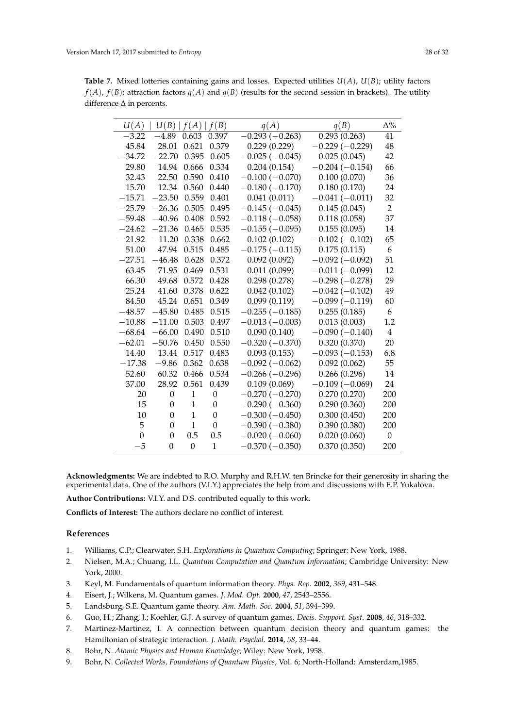**Table 7.** Mixed lotteries containing gains and losses. Expected utilities  $U(A)$ ,  $U(B)$ ; utility factors  $f(A)$ ,  $f(B)$ ; attraction factors  $g(A)$  and  $g(B)$  (results for the second session in brackets). The utility difference ∆ in percents.

| U(A)     |                  | U(B)   f(A)      | f(B)             | q(A)             | q(B)             | $\Delta\%$       |
|----------|------------------|------------------|------------------|------------------|------------------|------------------|
| $-3.22$  | $-4.89$          | 0.603            | 0.397            | $-0.293(-0.263)$ | 0.293(0.263)     | 41               |
| 45.84    | 28.01            | 0.621            | 0.379            | 0.229(0.229)     | $-0.229(-0.229)$ | 48               |
| $-34.72$ | $-22.70$         | 0.395            | 0.605            | $-0.025(-0.045)$ | 0.025(0.045)     | 42               |
| 29.80    | 14.94            | 0.666            | 0.334            | 0.204(0.154)     | $0.204(-0.154)$  | 66               |
| 32.43    | 22.50            | 0.590            | 0.410            | $-0.100(-0.070)$ | 0.100(0.070)     | 36               |
| 15.70    | 12.34            | 0.560            | 0.440            | $-0.180(-0.170)$ | 0.180(0.170)     | 24               |
| $-15.71$ | $-23.50$         | 0.559            | 0.401            | 0.041(0.011)     | $-0.041(-0.011)$ | 32               |
| $-25.79$ | $-26.36$         | 0.505            | 0.495            | $-0.145(-0.045)$ | 0.145(0.045)     | $\overline{2}$   |
| $-59.48$ | $-40.96$         | 0.408            | 0.592            | $-0.118(-0.058)$ | 0.118(0.058)     | 37               |
| $-24.62$ | $-21.36$         | 0.465            | 0.535            | $-0.155(-0.095)$ | 0.155(0.095)     | 14               |
| $-21.92$ | $-11.20$         | 0.338            | 0.662            | 0.102(0.102)     | $-0.102(-0.102)$ | 65               |
| 51.00    | 47.94            | 0.515            | 0.485            | $-0.175(-0.115)$ | 0.175(0.115)     | 6                |
| $-27.51$ | $-46.48$         | 0.628            | 0.372            | 0.092(0.092)     | $-0.092(-0.092)$ | 51               |
| 63.45    | 71.95            | 0.469            | 0.531            | 0.011(0.099)     | $-0.011(-0.099)$ | 12               |
| 66.30    | 49.68            | 0.572            | 0.428            | 0.298(0.278)     | $-0.298(-0.278)$ | 29               |
| 25.24    | 41.60            | 0.378            | 0.622            | 0.042(0.102)     | $-0.042(-0.102)$ | 49               |
| 84.50    | 45.24            | 0.651            | 0.349            | 0.099(0.119)     | $-0.099(-0.119)$ | 60               |
| $-48.57$ | $-45.80$         | 0.485            | 0.515            | $-0.255(-0.185)$ | 0.255(0.185)     | 6                |
| $-10.88$ | $-11.00$         | 0.503            | 0.497            | $-0.013(-0.003)$ | 0.013(0.003)     | 1.2              |
| $-68.64$ | $-66.00$         | 0.490            | 0.510            | 0.090(0.140)     | $-0.090(-0.140)$ | $\overline{4}$   |
| $-62.01$ | $-50.76$         | 0.450            | 0.550            | $-0.320(-0.370)$ | 0.320(0.370)     | 20               |
| 14.40    | 13.44            | 0.517            | 0.483            | 0.093(0.153)     | $-0.093(-0.153)$ | 6.8              |
| $-17.38$ | $-9.86$          | 0.362            | 0.638            | $-0.092(-0.062)$ | 0.092(0.062)     | 55               |
| 52.60    | 60.32            | 0.466            | 0.534            | $-0.266(-0.296)$ | 0.266(0.296)     | 14               |
| 37.00    | 28.92            | 0.561            | 0.439            | 0.109(0.069)     | $-0.109(-0.069)$ | 24               |
| 20       | $\boldsymbol{0}$ | 1                | $\boldsymbol{0}$ | $-0.270(-0.270)$ | 0.270(0.270)     | 200              |
| 15       | $\theta$         | 1                | $\theta$         | $-0.290(-0.360)$ | 0.290(0.360)     | 200              |
| 10       | $\mathbf{0}$     | $\mathbf{1}$     | $\boldsymbol{0}$ | $-0.300(-0.450)$ | 0.300(0.450)     | 200              |
| 5        | $\theta$         | $\mathbf{1}$     | $\boldsymbol{0}$ | $-0.390(-0.380)$ | 0.390(0.380)     | 200              |
| $\theta$ | $\boldsymbol{0}$ | 0.5              | 0.5              | $-0.020(-0.060)$ | 0.020(0.060)     | $\boldsymbol{0}$ |
| $-5$     | $\boldsymbol{0}$ | $\boldsymbol{0}$ | $\mathbf{1}$     | $-0.370(-0.350)$ | 0.370(0.350)     | 200              |

**Acknowledgments:** We are indebted to R.O. Murphy and R.H.W. ten Brincke for their generosity in sharing the experimental data. One of the authors (V.I.Y.) appreciates the help from and discussions with E.P. Yukalova.

**Author Contributions:** V.I.Y. and D.S. contributed equally to this work.

**Conflicts of Interest:** The authors declare no conflict of interest.

## **References**

- <span id="page-27-0"></span>1. Williams, C.P.; Clearwater, S.H. *Explorations in Quantum Computing*; Springer: New York, 1988.
- 2. Nielsen, M.A.; Chuang, I.L. *Quantum Computation and Quantum Information*; Cambridge University: New York, 2000.
- <span id="page-27-1"></span>3. Keyl, M. Fundamentals of quantum information theory. *Phys. Rep.* **2002**, *369*, 431–548.
- <span id="page-27-2"></span>4. Eisert, J.; Wilkens, M. Quantum games. *J. Mod. Opt.* **2000**, *47*, 2543–2556.
- 5. Landsburg, S.E. Quantum game theory. *Am. Math. Soc.* **2004**, *51*, 394–399.
- 6. Guo, H.; Zhang, J.; Koehler, G.J. A survey of quantum games. *Decis. Support. Syst.* **2008**, *46*, 318–332.
- <span id="page-27-3"></span>7. Martinez-Martinez, I. A connection between quantum decision theory and quantum games: the Hamiltonian of strategic interaction. *J. Math. Psychol.* **2014**, *58*, 33–44.
- <span id="page-27-4"></span>8. Bohr, N. *Atomic Physics and Human Knowledge*; Wiley: New York, 1958.
- <span id="page-27-5"></span>9. Bohr, N. *Collected Works, Foundations of Quantum Physics*, Vol. 6; North-Holland: Amsterdam,1985.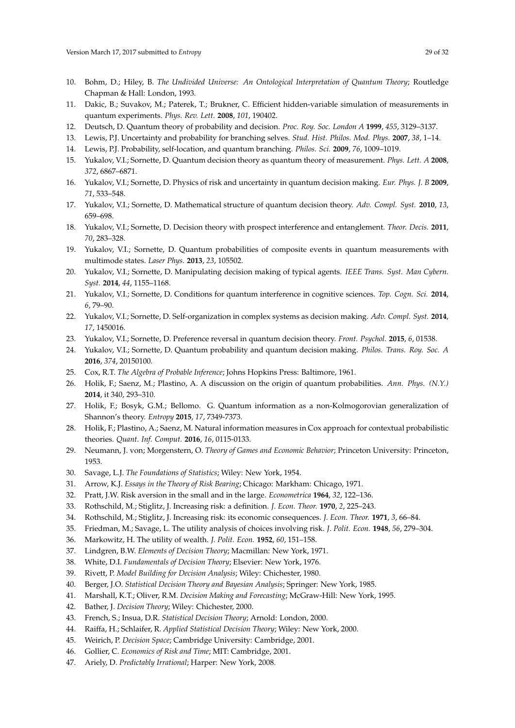- <span id="page-28-0"></span>10. Bohm, D.; Hiley, B. *The Undivided Universe: An Ontological Interpretation of Quantum Theory*; Routledge Chapman & Hall: London, 1993.
- <span id="page-28-1"></span>11. Dakic, B.; Suvakov, M.; Paterek, T.; Brukner, C. Efficient hidden-variable simulation of measurements in quantum experiments. *Phys. Rev. Lett.* **2008**, *101*, 190402.
- <span id="page-28-2"></span>12. Deutsch, D. Quantum theory of probability and decision. *Proc. Roy. Soc. London A* **1999**, *455*, 3129–3137.
- <span id="page-28-3"></span>13. Lewis, P.J. Uncertainty and probability for branching selves. *Stud. Hist. Philos. Mod. Phys.* **2007**, *38*, 1–14.
- <span id="page-28-4"></span>14. Lewis, P.J. Probability, self-location, and quantum branching. *Philos. Sci.* **2009**, *76*, 1009–1019.
- <span id="page-28-5"></span>15. Yukalov, V.I.; Sornette, D. Quantum decision theory as quantum theory of measurement. *Phys. Lett. A* **2008**, *372*, 6867–6871.
- <span id="page-28-25"></span>16. Yukalov, V.I.; Sornette, D. Physics of risk and uncertainty in quantum decision making. *Eur. Phys. J. B* **2009**, *71*, 533–548.
- <span id="page-28-22"></span>17. Yukalov, V.I.; Sornette, D. Mathematical structure of quantum decision theory. *Adv. Compl. Syst.* **2010**, *13*, 659–698.
- <span id="page-28-23"></span>18. Yukalov, V.I.; Sornette, D. Decision theory with prospect interference and entanglement. *Theor. Decis.* **2011**, *70*, 283–328.
- <span id="page-28-20"></span>19. Yukalov, V.I.; Sornette, D. Quantum probabilities of composite events in quantum measurements with multimode states. *Laser Phys.* **2013**, *23*, 105502.
- <span id="page-28-24"></span>20. Yukalov, V.I.; Sornette, D. Manipulating decision making of typical agents. *IEEE Trans. Syst. Man Cybern. Syst.* **2014**, *44*, 1155–1168.
- <span id="page-28-26"></span>21. Yukalov, V.I.; Sornette, D. Conditions for quantum interference in cognitive sciences. *Top. Cogn. Sci.* **2014**, *6*, 79–90.
- 22. Yukalov, V.I.; Sornette, D. Self-organization in complex systems as decision making. *Adv. Compl. Syst.* **2014**, *17*, 1450016.
- <span id="page-28-21"></span>23. Yukalov, V.I.; Sornette, D. Preference reversal in quantum decision theory. *Front. Psychol.* **2015**, *6*, 01538.
- <span id="page-28-6"></span>24. Yukalov, V.I.; Sornette, D. Quantum probability and quantum decision making. *Philos. Trans. Roy. Soc. A* **2016**, *374*, 20150100.
- <span id="page-28-7"></span>25. Cox, R.T. *The Algebra of Probable Inference*; Johns Hopkins Press: Baltimore, 1961.
- 26. Holik, F.; Saenz, M.; Plastino, A. A discussion on the origin of quantum probabilities. *Ann. Phys. (N.Y.)* **2014**, it 340, 293–310.
- 27. Holik, F.; Bosyk, G.M.; Bellomo. G. Quantum information as a non-Kolmogorovian generalization of Shannon's theory. *Entropy* **2015**, *17*, 7349-7373.
- <span id="page-28-8"></span>28. Holik, F.; Plastino, A.; Saenz, M. Natural information measures in Cox approach for contextual probabilistic theories. *Quant. Inf. Comput.* **2016**, *16*, 0115-0133.
- <span id="page-28-9"></span>29. Neumann, J. von; Morgenstern, O. *Theory of Games and Economic Behavior*; Princeton University: Princeton, 1953.
- <span id="page-28-10"></span>30. Savage, L.J. *The Foundations of Statistics*; Wiley: New York, 1954.
- <span id="page-28-11"></span>31. Arrow, K.J. *Essays in the Theory of Risk Bearing*; Chicago: Markham: Chicago, 1971.
- <span id="page-28-12"></span>32. Pratt, J.W. Risk aversion in the small and in the large. *Econometrica* **1964**, *32*, 122–136.
- <span id="page-28-13"></span>33. Rothschild, M.; Stiglitz, J. Increasing risk: a definition. *J. Econ. Theor.* **1970**, *2*, 225–243.
- <span id="page-28-14"></span>34. Rothschild, M.; Stiglitz, J. Increasing risk: its economic consequences. *J. Econ. Theor.* **1971**, *3*, 66–84.
- <span id="page-28-15"></span>35. Friedman, M.; Savage, L. The utility analysis of choices involving risk. *J. Polit. Econ.* **1948**, *56*, 279–304.
- <span id="page-28-16"></span>36. Markowitz, H. The utility of wealth. *J. Polit. Econ.* **1952**, *60*, 151–158.
- <span id="page-28-17"></span>37. Lindgren, B.W. *Elements of Decision Theory*; Macmillan: New York, 1971.
- 38. White, D.I. *Fundamentals of Decision Theory*; Elsevier: New York, 1976.
- 39. Rivett, P. *Model Building for Decision Analysis*; Wiley: Chichester, 1980.
- 40. Berger, J.O. *Statistical Decision Theory and Bayesian Analysis*; Springer: New York, 1985.
- 41. Marshall, K.T.; Oliver, R.M. *Decision Making and Forecasting*; McGraw-Hill: New York, 1995.
- 42. Bather, J. *Decision Theory*; Wiley: Chichester, 2000.
- 43. French, S.; Insua, D.R. *Statistical Decision Theory*; Arnold: London, 2000.
- 44. Raiffa, H.; Schlaifer, R. *Applied Statistical Decision Theory*; Wiley: New York, 2000.
- 45. Weirich, P. *Decision Space*; Cambridge University: Cambridge, 2001.
- <span id="page-28-19"></span><span id="page-28-18"></span>46. Gollier, C. *Economics of Risk and Time*; MIT: Cambridge, 2001.
- 47. Ariely, D. *Predictably Irrational*; Harper: New York, 2008.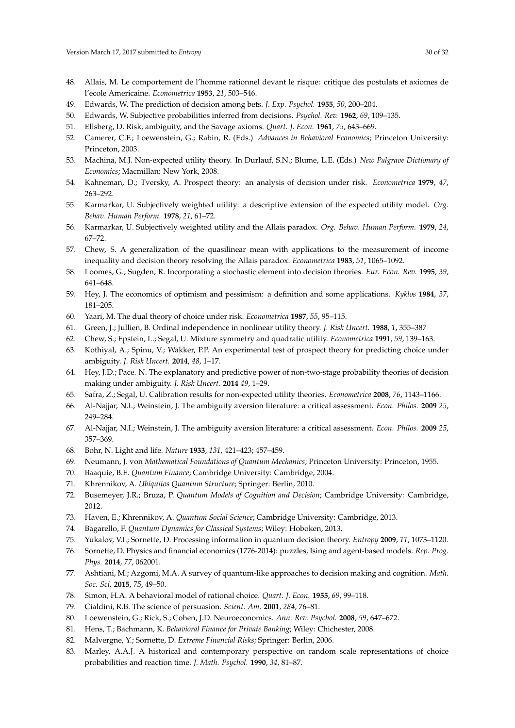- <span id="page-29-0"></span>48. Allais, M. Le comportement de l'homme rationnel devant le risque: critique des postulats et axiomes de l'ecole Americaine. *Econometrica* **1953**, *21*, 503–546.
- <span id="page-29-1"></span>49. Edwards, W. The prediction of decision among bets. *J. Exp. Psychol.* **1955**, *50*, 200–204.
- <span id="page-29-2"></span>50. Edwards, W. Subjective probabilities inferred from decisions. *Psychol. Rev.* **1962**, *69*, 109–135.
- <span id="page-29-3"></span>51. Ellsberg, D. Risk, ambiguity, and the Savage axioms. *Quart. J. Econ.* **1961**, *75*, 643–669.
- <span id="page-29-4"></span>52. Camerer, C.F.; Loewenstein, G.; Rabin, R. (Eds.) *Advances in Behavioral Economics*; Princeton University: Princeton, 2003.
- <span id="page-29-5"></span>53. Machina, M.J. Non-expected utility theory. In Durlauf, S.N.; Blume, L.E. (Eds.) *New Palgrave Dictionary of Economics*; Macmillan: New York, 2008.
- <span id="page-29-6"></span>54. Kahneman, D.; Tversky, A. Prospect theory: an analysis of decision under risk. *Econometrica* **1979**, *47*, 263–292.
- <span id="page-29-7"></span>55. Karmarkar, U. Subjectively weighted utility: a descriptive extension of the expected utility model. *Org. Behav. Human Perform.* **1978**, *21*, 61–72.
- 56. Karmarkar, U. Subjectively weighted utility and the Allais paradox. *Org. Behav. Human Perform.* **1979**, *24*, 67–72.
- <span id="page-29-8"></span>57. Chew, S. A generalization of the quasilinear mean with applications to the measurement of income inequality and decision theory resolving the Allais paradox. *Econometrica* **1983**, *51*, 1065–1092.
- <span id="page-29-9"></span>58. Loomes, G.; Sugden, R. Incorporating a stochastic element into decision theories. *Eur. Econ. Rev.* **1995**, *39*, 641–648.
- <span id="page-29-10"></span>59. Hey, J. The economics of optimism and pessimism: a definition and some applications. *Kyklos* **1984**, *37*, 181–205.
- <span id="page-29-11"></span>60. Yaari, M. The dual theory of choice under risk. *Econometrica* **1987**, *55*, 95–115.
- <span id="page-29-12"></span>61. Green, J.; Jullien, B. Ordinal independence in nonlinear utility theory. *J. Risk Uncert.* **1988**, *1*, 355–387
- <span id="page-29-13"></span>62. Chew, S.; Epstein, L.; Segal, U. Mixture symmetry and quadratic utility. *Econometrica* **1991**, *59*, 139–163.
- <span id="page-29-14"></span>63. Kothiyal, A.; Spinu, V.; Wakker, P.P. An experimental test of prospect theory for predicting choice under ambiguity. *J. Risk Uncert.* **2014**, *48*, 1–17.
- <span id="page-29-15"></span>64. Hey, J.D.; Pace. N. The explanatory and predictive power of non-two-stage probability theories of decision making under ambiguity. *J. Risk Uncert.* **2014** *49*, 1–29.
- <span id="page-29-16"></span>65. Safra, Z.; Segal, U. Calibration results for non-expected utility theories. *Econometrica* **2008**, *76*, 1143–1166.
- <span id="page-29-17"></span>66. Al-Najjar, N.I.; Weinstein, J. The ambiguity aversion literature: a critical assessment. *Econ. Philos.* **2009** *25*, 249–284.
- <span id="page-29-18"></span>67. Al-Najjar, N.I.; Weinstein, J. The ambiguity aversion literature: a critical assessment. *Econ. Philos.* **2009** *25*, 357–369.
- <span id="page-29-19"></span>68. Bohr, N. Light and life. *Nature* **1933**, *131*, 421–423; 457–459.
- <span id="page-29-20"></span>69. Neumann, J. von *Mathematical Foundations of Quantum Mechanics*; Princeton University: Princeton, 1955.
- <span id="page-29-21"></span>70. Baaquie, B.E. *Quantum Finance*; Cambridge University: Cambridge, 2004.
- 71. Khrennikov, A. *Ubiquitos Quantum Structure*; Springer: Berlin, 2010.
- 72. Busemeyer, J.R.; Bruza, P. *Quantum Models of Cognition and Decision*; Cambridge University: Cambridge, 2012.
- 73. Haven, E.; Khrennikov, A. *Quantum Social Science*; Cambridge University: Cambridge, 2013.
- <span id="page-29-22"></span>74. Bagarello, F. *Quantum Dynamics for Classical Systems*; Wiley: Hoboken, 2013.
- <span id="page-29-23"></span>75. Yukalov, V.I.; Sornette, D. Processing information in quantum decision theory. *Entropy* **2009**, *11*, 1073–1120.
- 76. Sornette, D. Physics and financial economics (1776-2014): puzzles, Ising and agent-based models. *Rep. Prog. Phys.* **2014**, *77*, 062001.
- <span id="page-29-24"></span>77. Ashtiani, M.; Azgomi, M.A. A survey of quantum-like approaches to decision making and cognition. *Math. Soc. Sci.* **2015**, *75*, 49–50.
- <span id="page-29-25"></span>78. Simon, H.A. A behavioral model of rational choice. *Quart. J. Econ.* **1955**, *69*, 99–118.
- <span id="page-29-26"></span>79. Cialdini, R.B. The science of persuasion. *Scient. Am.* **2001**, *284*, 76–81.
- 80. Loewenstein, G.; Rick, S.; Cohen, J.D. Neuroeconomics. *Ann. Rev. Psychol.* **2008**, *59*, 647–672.
- <span id="page-29-27"></span>81. Hens, T.; Bachmann, K. *Behavioral Finance for Private Banking*; Wiley: Chichester, 2008.
- <span id="page-29-28"></span>82. Malvergne, Y.; Sornette, D. *Extreme Financial Risks*; Springer: Berlin, 2006.
- <span id="page-29-29"></span>83. Marley, A.A.J. A historical and contemporary perspective on random scale representations of choice probabilities and reaction time. *J. Math. Psychol.* **1990**, *34*, 81–87.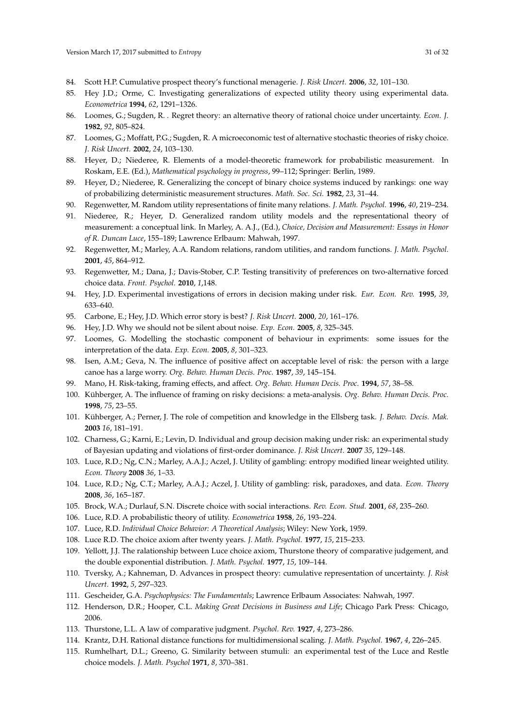- <span id="page-30-0"></span>84. Scott H.P. Cumulative prospect theory's functional menagerie. *J. Risk Uncert.* **2006**, *32*, 101–130.
- <span id="page-30-1"></span>85. Hey J.D.; Orme, C. Investigating generalizations of expected utility theory using experimental data. *Econometrica* **1994**, *62*, 1291–1326.
- 86. Loomes, G.; Sugden, R. . Regret theory: an alternative theory of rational choice under uncertainty. *Econ. J.* **1982**, *92*, 805–824.
- <span id="page-30-2"></span>87. Loomes, G.; Moffatt, P.G.; Sugden, R. A microeconomic test of alternative stochastic theories of risky choice. *J. Risk Uncert.* **2002**, *24*, 103–130.
- <span id="page-30-3"></span>88. Heyer, D.; Niederee, R. Elements of a model-theoretic framework for probabilistic measurement. In Roskam, E.E. (Ed.), *Mathematical psychology in progress*, 99–112; Springer: Berlin, 1989.
- 89. Heyer, D.; Niederee, R. Generalizing the concept of binary choice systems induced by rankings: one way of probabilizing deterministic measurement structures. *Math. Soc. Sci.* **1982**, *23*, 31–44.
- 90. Regenwetter, M. Random utility representations of finite many relations. *J. Math. Psychol.* **1996**, *40*, 219–234.
- 91. Niederee, R.; Heyer, D. Generalized random utility models and the representational theory of measurement: a conceptual link. In Marley, A. A.J., (Ed.), *Choice, Decision and Measurement: Essays in Honor of R. Duncan Luce*, 155–189; Lawrence Erlbaum: Mahwah, 1997.
- 92. Regenwetter, M.; Marley, A.A. Random relations, random utilities, and random functions. *J. Math. Psychol.* **2001**, *45*, 864–912.
- <span id="page-30-4"></span>93. Regenwetter, M.; Dana, J.; Davis-Stober, C.P. Testing transitivity of preferences on two-alternative forced choice data. *Front. Psychol.* **2010**, *1*,148.
- <span id="page-30-5"></span>94. Hey, J.D. Experimental investigations of errors in decision making under risk. *Eur. Econ. Rev.* **1995**, *39*, 633–640.
- 95. Carbone, E.; Hey, J.D. Which error story is best? *J. Risk Uncert.* **2000**, *20*, 161–176.
- 96. Hey, J.D. Why we should not be silent about noise. *Exp. Econ.* **2005**, *8*, 325–345.
- <span id="page-30-6"></span>97. Loomes, G. Modelling the stochastic component of behaviour in expriments: some issues for the interpretation of the data. *Exp. Econ.* **2005**, *8*, 301–323.
- <span id="page-30-7"></span>98. Isen, A.M.; Geva, N. The influence of positive affect on acceptable level of risk: the person with a large canoe has a large worry. *Org. Behav. Human Decis. Proc.* **1987**, *39*, 145–154.
- 99. Mano, H. Risk-taking, framing effects, and affect. *Org. Behav. Human Decis. Proc.* **1994**, *57*, 38–58.
- 100. Kühberger, A. The influence of framing on risky decisions: a meta-analysis. *Org. Behav. Human Decis. Proc.* **1998**, *75*, 23–55.
- 101. Kühberger, A.; Perner, J. The role of competition and knowledge in the Ellsberg task. *J. Behav. Decis. Mak.* **2003** *16*, 181–191.
- <span id="page-30-8"></span>102. Charness, G.; Karni, E.; Levin, D. Individual and group decision making under risk: an experimental study of Bayesian updating and violations of first-order dominance. *J. Risk Uncert.* **2007** *35*, 129–148.
- <span id="page-30-9"></span>103. Luce, R.D.; Ng, C.N.; Marley, A.A.J.; Aczel, J. Utility of gambling: entropy modified linear weighted utility. *Econ. Theory* **2008** *36*, 1–33.
- <span id="page-30-10"></span>104. Luce, R.D.; Ng, C.T.; Marley, A.A.J.; Aczel, J. Utility of gambling: risk, paradoxes, and data. *Econ. Theory* **2008**, *36*, 165–187.
- <span id="page-30-11"></span>105. Brock, W.A.; Durlauf, S.N. Discrete choice with social interactions. *Rev. Econ. Stud.* **2001**, *68*, 235–260.
- <span id="page-30-12"></span>106. Luce, R.D. A probabilistic theory of utility. *Econometrica* **1958**, *26*, 193–224.
- 107. Luce, R.D. *Individual Choice Behavior: A Theoretical Analysis*; Wiley: New York, 1959.
- <span id="page-30-13"></span>108. Luce R.D. The choice axiom after twenty years. *J. Math. Psychol.* **1977**, *15*, 215–233.
- 109. Yellott, J.J. The ralationship between Luce choice axiom, Thurstone theory of comparative judgement, and the double exponential distribution. *J. Math. Psychol.* **1977**, *15*, 109–144.
- <span id="page-30-14"></span>110. Tversky, A.; Kahneman, D. Advances in prospect theory: cumulative representation of uncertainty. *J. Risk Uncert.* **1992**, *5*, 297–323.
- <span id="page-30-15"></span>111. Gescheider, G.A. *Psychophysics: The Fundamentals*; Lawrence Erlbaum Associates: Nahwah, 1997.
- <span id="page-30-16"></span>112. Henderson, D.R.; Hooper, C.L. *Making Great Decisions in Business and Life*; Chicago Park Press: Chicago, 2006.
- <span id="page-30-17"></span>113. Thurstone, L.L. A law of comparative judgment. *Psychol. Rev.* **1927**, *4*, 273–286.
- 114. Krantz, D.H. Rational distance functions for multidimensional scaling. *J. Math. Psychol.* **1967**, *4*, 226–245.
- 115. Rumhelhart, D.L.; Greeno, G. Similarity between stumuli: an experimental test of the Luce and Restle choice models. *J. Math. Psychol* **1971**, *8*, 370–381.